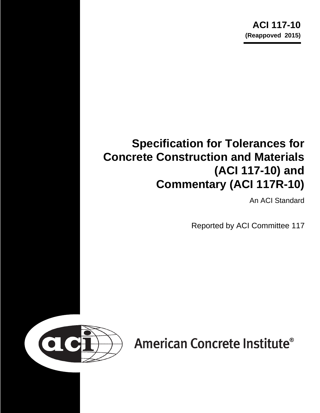# **Specification for Tolerances for Concrete Construction and Materials (ACI 117-10) and Commentary (ACI 117R-10)**

An ACI Standard

Reported by ACI Committee 117



American Concrete Institute<sup>®</sup>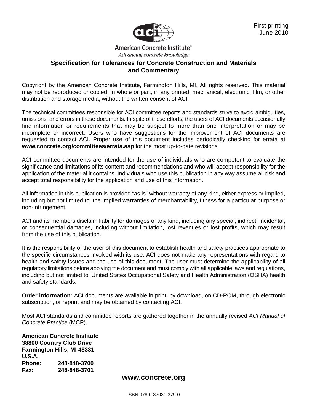

# American Concrete Institute<sup>®</sup> Advancing concrete knowledge

# **Specification for Tolerances for Concrete Construction and Materials and Commentary**

Copyright by the American Concrete Institute, Farmington Hills, MI. All rights reserved. This material may not be reproduced or copied, in whole or part, in any printed, mechanical, electronic, film, or other distribution and storage media, without the written consent of ACI.

The technical committees responsible for ACI committee reports and standards strive to avoid ambiguities, omissions, and errors in these documents. In spite of these efforts, the users of ACI documents occasionally find information or requirements that may be subject to more than one interpretation or may be incomplete or incorrect. Users who have suggestions for the improvement of ACI documents are requested to contact ACI. Proper use of this document includes periodically checking for errata at **www.concrete.org/committees/errata.asp** for the most up-to-date revisions.

ACI committee documents are intended for the use of individuals who are competent to evaluate the significance and limitations of its content and recommendations and who will accept responsibility for the application of the material it contains. Individuals who use this publication in any way assume all risk and accept total responsibility for the application and use of this information.

All information in this publication is provided "as is" without warranty of any kind, either express or implied, including but not limited to, the implied warranties of merchantability, fitness for a particular purpose or non-infringement.

ACI and its members disclaim liability for damages of any kind, including any special, indirect, incidental, or consequential damages, including without limitation, lost revenues or lost profits, which may result from the use of this publication.

It is the responsibility of the user of this document to establish health and safety practices appropriate to the specific circumstances involved with its use. ACI does not make any representations with regard to health and safety issues and the use of this document. The user must determine the applicability of all regulatory limitations before applying the document and must comply with all applicable laws and regulations, including but not limited to, United States Occupational Safety and Health Administration (OSHA) health and safety standards.

**Order information:** ACI documents are available in print, by download, on CD-ROM, through electronic subscription, or reprint and may be obtained by contacting ACI.

Most ACI standards and committee reports are gathered together in the annually revised *ACI Manual of Concrete Practice* (MCP).

**American Concrete Institute 38800 Country Club Drive Farmington Hills, MI 48331 U.S.A. Phone: 248-848-3700 Fax: 248-848-3701**

# **www.concrete.org**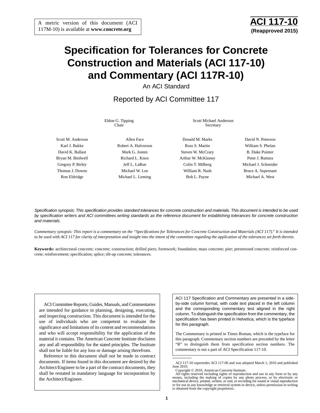

# **Specification for Tolerances for Concrete Construction and Materials (ACI 117-10) and Commentary (ACI 117R-10)**

An ACI Standard

Reported by ACI Committee 117

Eldon G. Tipping Chair

Ron Eldridge Michael L. Leming Bob L. Payne Michael A. West

Scott M. Anderson **Allen Face Allen Face Conald M. Marks** David N. Peterson Karl J. Bakke Robert A. Halvorson Ross S. Martin William S. Phelan David K. Ballast Mark G. Josten Steven W. McCrary B. Duke Pointer Bryan M. Birdwell **Richard L. Knox** Arthur W. McKinney Peter J. Ruttura Gregory P. Birley Jeff L. LaRue Colin T. Milberg Michael J. Schneider Thomas J. Downs Michael W. Lee William R. Nash Bruce A. Suprenant

Scott Michael Anderson Secretary

*Specification synopsis: This specification provides standard tolerances for concrete construction and materials. This document is intended to be used by specification writers and ACI committees writing standards as the reference document for establishing tolerances for concrete construction and materials.*

*Commentary synopsis: This report is a commentary on the "Specifications for Tolerances for Concrete Construction and Materials (ACI 117)." It is intended to be used with ACI 117 for clarity of interpretation and insight into the intent of the committee regarding the application of the tolerances set forth therein.*

**Keywords:** architectural concrete; concrete; construction; drilled piers; formwork; foundation; mass concrete; pier; prestressed concrete; reinforced concrete; reinforcement; specification; splice; tilt-up concrete; tolerances.

ACI Committee Reports, Guides, Manuals, and Commentaries are intended for guidance in planning, designing, executing, and inspecting construction. This document is intended for the use of individuals who are competent to evaluate the significance and limitations of its content and recommendations and who will accept responsibility for the application of the material it contains. The American Concrete Institute disclaims any and all responsibility for the stated principles. The Institute shall not be liable for any loss or damage arising therefrom.

Reference to this document shall not be made in contract documents. If items found in this document are desired by the Architect/Engineer to be a part of the contract documents, they shall be restated in mandatory language for incorporation by the Architect/Engineer.

ACI 117 Specification and Commentary are presented in a sideby-side column format, with code text placed in the left column and the corresponding commentary text aligned in the right column. To distinguish the specification from the commentary, the specification has been printed in Helvetica, which is the typeface for this paragraph.

The Commentary is printed in Times Roman, which is the typeface for this paragraph. Commentary section numbers are preceded by the letter "R" to distinguish them from specification section numbers. The commentary is not a part of ACI Specification 117-10.

ACI 117-10 supersedes ACI 117-06 and was adopted March 1, 2010 and published June 2010.

Copyright © 2010, American Concrete Institute.

All rights reserved including rights of reproduction and use in any form or by any means, including the making of copies by any photo process, or by electronic or mechanical device, printed, written, or oral, or recording for sound or visual reproduction or for use in any knowledge or retrieval system or device, unless permission in writing is obtained from the copyright proprietors.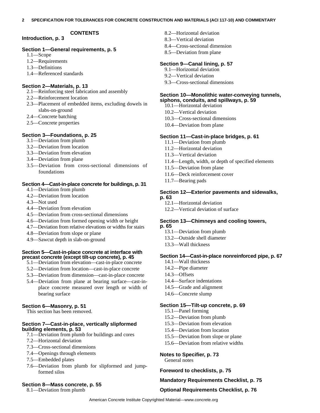#### **CONTENTS**

# **Introduction, p. 3**

### **Section 1—General requirements, p. 5**

- 1.1—Scope
- 1.2—Requirements
- 1.3—Definitions
- 1.4—Referenced standards

### **Section 2—Materials, p. 13**

- 2.1—Reinforcing steel fabrication and assembly
- 2.2—Reinforcement location
- 2.3—Placement of embedded items, excluding dowels in slabs-on-ground
- 2.4—Concrete batching
- 2.5—Concrete properties

### **Section 3—Foundations, p. 25**

- 3.1—Deviation from plumb
- 3.2—Deviation from location
- 3.3—Deviation from elevation
- 3.4—Deviation from plane
- 3.5—Deviation from cross-sectional dimensions of foundations

### **Section 4—Cast-in-place concrete for buildings, p. 31**

- 4.1—Deviation from plumb
- 4.2—Deviation from location
- 4.3—Not used
- 4.4—Deviation from elevation
- 4.5—Deviation from cross-sectional dimensions
- 4.6—Deviation from formed opening width or height
- 4.7—Deviation from relative elevations or widths for stairs
- 4.8—Deviation from slope or plane
- 4.9—Sawcut depth in slab-on-ground

### **Section 5—Cast-in-place concrete at interface with precast concrete (except tilt-up concrete), p. 45**

- 5.1—Deviation from elevation—cast-in-place concrete
- 5.2—Deviation from location—cast-in-place concrete
- 5.3—Deviation from dimension—cast-in-place concrete
- 5.4—Deviation from plane at bearing surface—cast-inplace concrete measured over length or width of bearing surface

### **Section 6—Masonry, p. 51**

This section has been removed.

### **Section 7—Cast-in-place, vertically slipformed building elements, p. 53**

- 7.1—Deviation from plumb for buildings and cores
- 7.2—Horizontal deviation
- 7.3—Cross-sectional dimensions
- 7.4—Openings through elements
- 7.5—Embedded plates
- 7.6—Deviation from plumb for slipformed and jumpformed silos

## **Section 8—Mass concrete, p. 55**

8.1—Deviation from plumb

- 8.2—Horizontal deviation
- 8.3—Vertical deviation
- 8.4—Cross-sectional dimension
- 8.5—Deviation from plane

### **Section 9—Canal lining, p. 57**

- 9.1—Horizontal deviation
- 9.2—Vertical deviation
- 9.3—Cross-sectional dimensions

#### **Section 10—Monolithic water-conveying tunnels, siphons, conduits, and spillways, p. 59**

- 10.1—Horizontal deviation
- 10.2—Vertical deviation
- 10.3—Cross-sectional dimensions
- 10.4—Deviation from plane

### **Section 11—Cast-in-place bridges, p. 61**

- 11.1—Deviation from plumb
- 11.2—Horizontal deviation
- 11.3—Vertical deviation
- 11.4—Length, width, or depth of specified elements
- 11.5—Deviation from plane
- 11.6—Deck reinforcement cover
- 11.7—Bearing pads

#### **Section 12—Exterior pavements and sidewalks, p. 63**

- 12.1—Horizontal deviation
- 12.2—Vertical deviation of surface

### **Section 13—Chimneys and cooling towers, p. 65**

- 13.1—Deviation from plumb
- 13.2—Outside shell diameter
- 13.3—Wall thickness

### **Section 14—Cast-in-place nonreinforced pipe, p. 67**

- 14.1—Wall thickness
- 14.2—Pipe diameter
- 14.3—Offsets
- 14.4—Surface indentations
- 14.5—Grade and alignment
- 14.6—Concrete slump

#### **Section 15—Tilt-up concrete, p. 69**

- 15.1—Panel forming
- 15.2—Deviation from plumb
- 15.3—Deviation from elevation
- 15.4—Deviation from location
- 15.5—Deviation from slope or plane
- 15.6—Deviation from relative widths

**Notes to Specifier, p. 73** General notes

**Foreword to checklists, p. 75**

### **Mandatory Requirements Checklist, p. 75**

### **Optional Requirements Checklist, p. 76**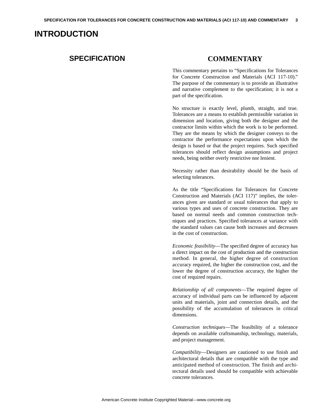# **INTRODUCTION**

# **SPECIFICATION COMMENTARY**

This commentary pertains to "Specifications for Tolerances for Concrete Construction and Materials (ACI 117-10)." The purpose of the commentary is to provide an illustrative and narrative complement to the specification; it is not a part of the specification.

No structure is exactly level, plumb, straight, and true. Tolerances are a means to establish permissible variation in dimension and location, giving both the designer and the contractor limits within which the work is to be performed. They are the means by which the designer conveys to the contractor the performance expectations upon which the design is based or that the project requires. Such specified tolerances should reflect design assumptions and project needs, being neither overly restrictive nor lenient.

Necessity rather than desirability should be the basis of selecting tolerances.

As the title "Specifications for Tolerances for Concrete Construction and Materials (ACI 117)" implies, the tolerances given are standard or usual tolerances that apply to various types and uses of concrete construction. They are based on normal needs and common construction techniques and practices. Specified tolerances at variance with the standard values can cause both increases and decreases in the cost of construction.

*Economic feasibility*—The specified degree of accuracy has a direct impact on the cost of production and the construction method. In general, the higher degree of construction accuracy required, the higher the construction cost, and the lower the degree of construction accuracy, the higher the cost of required repairs.

*Relationship of all components*—The required degree of accuracy of individual parts can be influenced by adjacent units and materials, joint and connection details, and the possibility of the accumulation of tolerances in critical dimensions.

*Construction techniques*—The feasibility of a tolerance depends on available craftsmanship, technology, materials, and project management.

*Compatibility*—Designers are cautioned to use finish and architectural details that are compatible with the type and anticipated method of construction. The finish and architectural details used should be compatible with achievable concrete tolerances.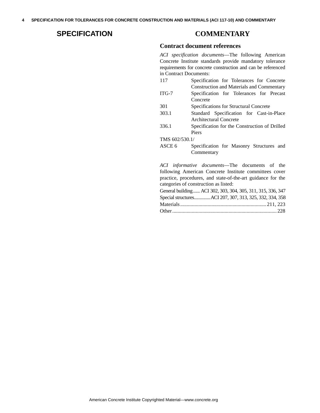### **Contract document references**

*ACI specification documents*—The following American Concrete Institute standards provide mandatory tolerance requirements for concrete construction and can be referenced in Contract Documents:

- 117 Specification for Tolerances for Concrete Construction and Materials and Commentary
- ITG-7 Specification for Tolerances for Precast Concrete
- 301 Specifications for Structural Concrete
- 303.1 Standard Specification for Cast-in-Place Architectural Concrete
- 336.1 Specification for the Construction of Drilled Piers

TMS 602/530.1/

ASCE 6 Specification for Masonry Structures and Commentary

*ACI informative documents*—The documents of the following American Concrete Institute committees cover practice, procedures, and state-of-the-art guidance for the categories of construction as listed: General building...... ACI 302, 303, 304, 305, 311, 315, 336, 347

| <u> General Dunding  ACT 502, 505, 504, 505, 511, 515, 550, 547</u> |
|---------------------------------------------------------------------|
| Special structuresACI 207, 307, 313, 325, 332, 334, 358             |
|                                                                     |
|                                                                     |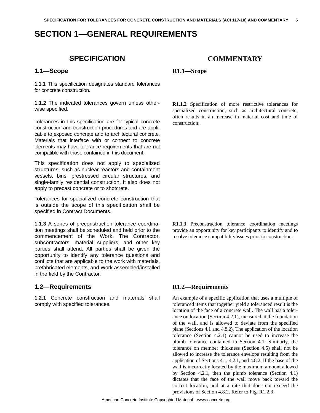# **SECTION 1—GENERAL REQUIREMENTS**

# **SPECIFICATION COMMENTARY**

### **1.1—Scope**

**1.1.1** This specification designates standard tolerances for concrete construction.

**1.1.2** The indicated tolerances govern unless otherwise specified.

Tolerances in this specification are for typical concrete construction and construction procedures and are applicable to exposed concrete and to architectural concrete. Materials that interface with or connect to concrete elements may have tolerance requirements that are not compatible with those contained in this document.

This specification does not apply to specialized structures, such as nuclear reactors and containment vessels, bins, prestressed circular structures, and single-family residential construction. It also does not apply to precast concrete or to shotcrete.

Tolerances for specialized concrete construction that is outside the scope of this specification shall be specified in Contract Documents.

**1.1.3** A series of preconstruction tolerance coordination meetings shall be scheduled and held prior to the commencement of the Work. The Contractor, subcontractors, material suppliers, and other key parties shall attend. All parties shall be given the opportunity to identify any tolerance questions and conflicts that are applicable to the work with materials, prefabricated elements, and Work assembled/installed in the field by the Contractor.

# **1.2—Requirements**

**1.2.1** Concrete construction and materials shall comply with specified tolerances.

**R1.1—Scope**

**R1.1.2** Specification of more restrictive tolerances for specialized construction, such as architectural concrete, often results in an increase in material cost and time of construction.

**R1.1.3** Preconstruction tolerance coordination meetings provide an opportunity for key participants to identify and to resolve tolerance compatibility issues prior to construction.

# **R1.2—Requirements**

An example of a specific application that uses a multiple of toleranced items that together yield a toleranced result is the location of the face of a concrete wall. The wall has a tolerance on location (Section 4.2.1), measured at the foundation of the wall, and is allowed to deviate from the specified plane (Sections 4.1 and 4.8.2). The application of the location tolerance (Section 4.2.1) cannot be used to increase the plumb tolerance contained in Section 4.1. Similarly, the tolerance on member thickness (Section 4.5) shall not be allowed to increase the tolerance envelope resulting from the application of Sections 4.1, 4.2.1, and 4.8.2. If the base of the wall is incorrectly located by the maximum amount allowed by Section 4.2.1, then the plumb tolerance (Section 4.1) dictates that the face of the wall move back toward the correct location, and at a rate that does not exceed the provisions of Section 4.8.2. Refer to Fig. R1.2.3.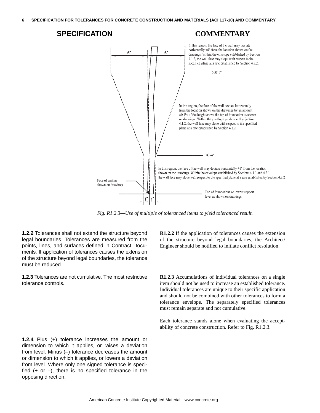

*Fig. R1.2.3—Use of multiple of toleranced items to yield toleranced result.*

**1.2.2** Tolerances shall not extend the structure beyond legal boundaries. Tolerances are measured from the points, lines, and surfaces defined in Contract Documents. If application of tolerances causes the extension of the structure beyond legal boundaries, the tolerance must be reduced.

**1.2.3** Tolerances are not cumulative. The most restrictive tolerance controls.

**1.2.4** Plus (+) tolerance increases the amount or dimension to which it applies, or raises a deviation from level. Minus (–) tolerance decreases the amount or dimension to which it applies, or lowers a deviation from level. Where only one signed tolerance is specified  $(+ or -)$ , there is no specified tolerance in the opposing direction.

**R1.2.2** If the application of tolerances causes the extension of the structure beyond legal boundaries, the Architect/ Engineer should be notified to initiate conflict resolution.

**R1.2.3** Accumulations of individual tolerances on a single item should not be used to increase an established tolerance. Individual tolerances are unique to their specific application and should not be combined with other tolerances to form a tolerance envelope. The separately specified tolerances must remain separate and not cumulative.

Each tolerance stands alone when evaluating the acceptability of concrete construction. Refer to Fig. R1.2.3.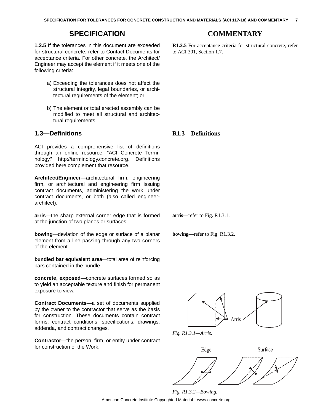**1.2.5** If the tolerances in this document are exceeded for structural concrete, refer to Contact Documents for acceptance criteria. For other concrete, the Architect/ Engineer may accept the element if it meets one of the following criteria:

- a) Exceeding the tolerances does not affect the structural integrity, legal boundaries, or architectural requirements of the element; or
- b) The element or total erected assembly can be modified to meet all structural and architectural requirements.

# **1.3—Definitions**

ACI provides a comprehensive list of definitions through an online resource, "ACI Concrete Terminology," http://terminology.concrete.org. Definitions provided here complement that resource.

**Architect/Engineer**—architectural firm, engineering firm, or architectural and engineering firm issuing contract documents, administering the work under contract documents, or both (also called engineerarchitect).

**arris**—the sharp external corner edge that is formed at the junction of two planes or surfaces.

**bowing**—deviation of the edge or surface of a planar element from a line passing through any two corners of the element.

**bundled bar equivalent area**—total area of reinforcing bars contained in the bundle.

**concrete, exposed**—concrete surfaces formed so as to yield an acceptable texture and finish for permanent exposure to view.

**Contract Documents**—a set of documents supplied by the owner to the contractor that serve as the basis for construction. These documents contain contract forms, contract conditions, specifications, drawings, addenda, and contract changes.

**Contractor**—the person, firm, or entity under contract for construction of the Work.

# **SPECIFICATION COMMENTARY**

**R1.2.5** For acceptance criteria for structural concrete, refer to ACI 301, Section 1.7.

**R1.3—Definitions**

**arris**—refer to Fig. R1.3.1.

**bowing**—refer to Fig. R1.3.2.







American Concrete Institute Copyrighted Material—www.concrete.org *Fig. R1.3.2—Bowing.*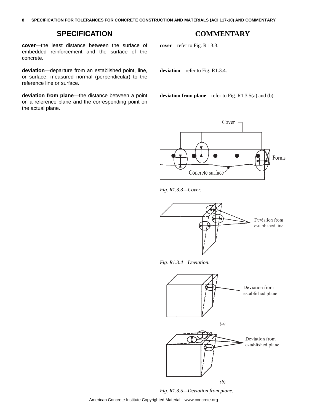**8 SPECIFICATION FOR TOLERANCES FOR CONCRETE CONSTRUCTION AND MATERIALS (ACI 117-10) AND COMMENTARY**

# **SPECIFICATION COMMENTARY**

**cover**—the least distance between the surface of embedded reinforcement and the surface of the concrete.

**deviation**—departure from an established point, line, or surface; measured normal (perpendicular) to the reference line or surface.

**deviation from plane**—the distance between a point on a reference plane and the corresponding point on the actual plane.

**cover**—refer to Fig. R1.3.3.

**deviation**—refer to Fig. R1.3.4.

**deviation from plane**—refer to Fig. R1.3.5(a) and (b).



*Fig. R1.3.3—Cover.*



*Fig. R1.3.4—Deviation.*



*Fig. R1.3.5—Deviation from plane.*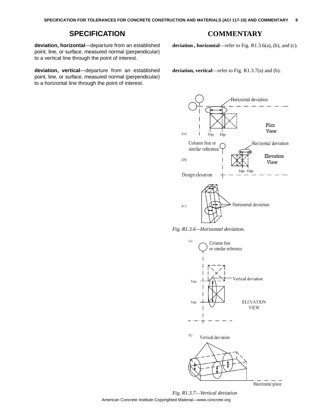**deviation, horizontal**—departure from an established point, line, or surface, measured normal (perpendicular) to a vertical line through the point of interest.

**deviation, vertical**—departure from an established point, line, or surface, measured normal (perpendicular) to a horizontal line through the point of interest.

**deviation , horizontal**—refer to Fig. R1.3.6(a), (b), and (c).

**deviation, vertical**—refer to Fig. R1.3.7(a) and (b).



*Fig. R1.3.6—Horizontal deviation.*



Horizontal plane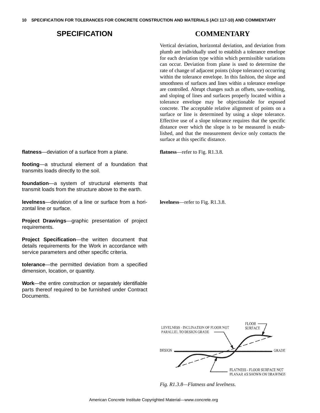Vertical deviation, horizontal deviation, and deviation from plumb are individually used to establish a tolerance envelope for each deviation type within which permissible variations can occur. Deviation from plane is used to determine the rate of change of adjacent points (slope tolerance) occurring within the tolerance envelope. In this fashion, the slope and smoothness of surfaces and lines within a tolerance envelope are controlled. Abrupt changes such as offsets, saw-toothing, and sloping of lines and surfaces properly located within a tolerance envelope may be objectionable for exposed concrete. The acceptable relative alignment of points on a surface or line is determined by using a slope tolerance. Effective use of a slope tolerance requires that the specific distance over which the slope is to be measured is established, and that the measurement device only contacts the surface at this specific distance.

**flatness**—refer to Fig. R1.3.8.

**flatness**—deviation of a surface from a plane.

**footing**—a structural element of a foundation that transmits loads directly to the soil.

**foundation**—a system of structural elements that transmit loads from the structure above to the earth.

**levelness**—deviation of a line or surface from a horizontal line or surface.

**Project Drawings**—graphic presentation of project requirements.

**Project Specification**—the written document that details requirements for the Work in accordance with service parameters and other specific criteria.

**tolerance**—the permitted deviation from a specified dimension, location, or quantity.

**Work**—the entire construction or separately identifiable parts thereof required to be furnished under Contract Documents.

**levelness**—refer to Fig. R1.3.8.



*Fig. R1.3.8—Flatness and levelness.*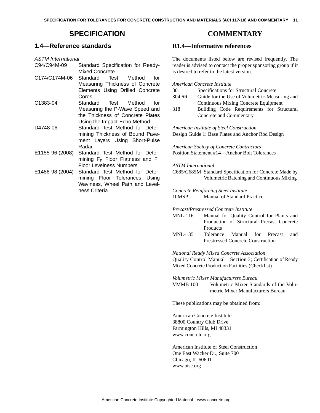# **1.4—Reference standards**

*ASTM International*

- C94/C94M-09 Standard Specification for Ready-Mixed Concrete
- C174/C174M-06 Standard Test Method for Measuring Thickness of Concrete Elements Using Drilled Concrete Cores
- C1383-04 Standard Test Method for Measuring the P-Wave Speed and the Thickness of Concrete Plates Using the Impact-Echo Method
- D4748-06 Standard Test Method for Determining Thickness of Bound Pavement Layers Using Short-Pulse Radar
- E1155-96 (2008) Standard Test Method for Determining  $F_F$  Floor Flatness and  $F_L$ Floor Levelness Numbers
- E1486-98 (2004) Standard Test Method for Determining Floor Tolerances Using Waviness, Wheel Path and Levelness Criteria

# **R1.4—Informative references**

The documents listed below are revised frequently. The reader is advised to contact the proper sponsoring group if it is desired to refer to the latest version.

*American Concrete Institute*

| 301    | Specifications for Structural Concrete        |  |  |  |  |
|--------|-----------------------------------------------|--|--|--|--|
| 304.6R | Guide for the Use of Volumetric-Measuring and |  |  |  |  |
|        | <b>Continuous Mixing Concrete Equipment</b>   |  |  |  |  |
| 318    | Building Code Requirements for Structural     |  |  |  |  |
|        | Concrete and Commentary                       |  |  |  |  |
|        |                                               |  |  |  |  |

*American Institute of Steel Construction* Design Guide 1: Base Plates and Anchor Rod Design

*American Society of Concrete Contractors* Position Statement #14—Anchor Bolt Tolerances

*ASTM International*

C685/C685M Standard Specification for Concrete Made by Volumetric Batching and Continuous Mixing

*Concrete Reinforcing Steel Institute*

10MSP Manual of Standard Practice

*Precast/Prestressed Concrete Institute*

| MNL-116 | Manual for Quality Control for Plants and |  |  |  |
|---------|-------------------------------------------|--|--|--|
|         | Production of Structural Precast Concrete |  |  |  |
|         | <b>Products</b>                           |  |  |  |
|         |                                           |  |  |  |

MNL-135 Tolerance Manual for Precast and Prestressed Concrete Construction

*National Ready Mixed Concrete Association*

Quality Control Manual—Section 3; Certification of Ready Mixed Concrete Production Facilities (Checklist)

*Volumetric Mixer Manufacturers Bureau*

VMMB 100 Volumetric Mixer Standards of the Volumetric Mixer Manufacturers Bureau

These publications may be obtained from:

American Concrete Institute 38800 Country Club Drive Farmington Hills, MI 48331 www.concrete.org

American Institute of Steel Construction One East Wacker Dr., Suite 700 Chicago, IL 60601 www.aisc.org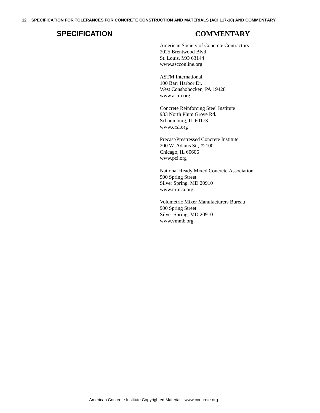American Society of Concrete Contractors 2025 Brentwood Blvd. St. Louis, MO 63144 www.ascconline.org

ASTM International 100 Barr Harbor Dr. West Conshohocken, PA 19428 www.astm.org

Concrete Reinforcing Steel Institute 933 North Plum Grove Rd. Schaumburg, IL 60173 www.crsi.org

Precast/Prestressed Concrete Institute 200 W. Adams St., #2100 Chicago, IL 60606 www.pci.org

National Ready Mixed Concrete Association 900 Spring Street Silver Spring, MD 20910 www.nrmca.org

Volumetric Mixer Manufacturers Bureau 900 Spring Street Silver Spring, MD 20910 www.vmmb.org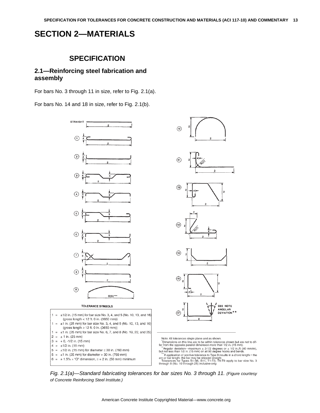# **SECTION 2—MATERIALS**

# **SPECIFICATION**

# **2.1—Reinforcing steel fabrication and assembly**

For bars No. 3 through 11 in size, refer to Fig. 2.1(a).

For bars No. 14 and 18 in size, refer to Fig. 2.1(b).



 $\overline{1}$ 



Note: All tolerances single plane and as shown.

Dimensions on this line are to be within tolerance shown but are not to differ from the opposite parallel dimension more than  $1/2$  in. (15 mm). The "Angular deviation-maximum  $\pm 2-1/2$  degrees or  $\pm 1/2$  in./It (40 mm/

"If application of positive tolerance to Type 9 results in a chord length > the<br>arc or bar length, the bar may be shipped straight.<br>Tolerances for Types S1-S6, S11, T1-T3, T6-T9 apply to bar size No. 3<br>through 8 (No. 10 th

*Fig. 2.1(a)—Standard fabricating tolerances for bar sizes No. 3 through 11. (Figure courtesy of Concrete Reinforcing Steel Institute.)*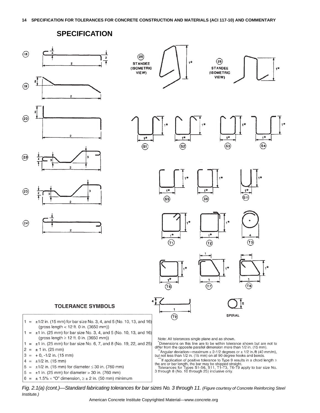# **SPECIFICATION**





o,

 $\overline{2}$ 

 $^{(2)}$ 

 $(23)$ 

 $\circled{24}$ 





 $(\tau_1)$ 

 $(19)$ 

 $(26)$ **STANDEE** (ISOMETRIC VIEW)









(тз)

 $1<sup>4</sup>$  $\binom{2}{2}$ 



**SPIRAL** 

### **TOLERANCE SYMBOLS**

- $1 = \pm 1/2$  in. (15 mm) for bar size No. 3, 4, and 5 (No. 10, 13, and 16) (gross length < 12 ft. 0 in. (3650 mm))
- $1 = \pm 1$  in. (25 mm) for bar size No. 3, 4, and 5 (No. 10, 13, and 16) (gross length ≥ 12 ft. 0 in. (3650 mm))
- $1 = \pm 1$  in. (25 mm) for bar size No. 6, 7, and 8 (No. 19, 22, and 25)
- $2 = \pm 1$  in. (25 mm)
- $3 = +0, -1/2$  in. (15 mm)
- $4 = \pm 1/2$  in. (15 mm)
- $5 = \pm 1/2$  in. (15 mm) for diameter  $\leq 30$  in. (760 mm)
- $5 = \pm 1$  in. (25 mm) for diameter > 30 in. (760 mm)
- 6 =  $\pm$  1.5%  $\times$  "O" dimension,  $\geq \pm 2$  in. (50 mm) minimum
- Note: All tolerances single plane and as shown.
- Dimensions on this line are to be within tolerance shown but are not to differ from the opposite parallel dimension more than 1/2 in. (15 mm).
- Angular deviation—maximum  $\pm$  2-1/2 degrees or  $\pm$  1/2 in./ft (40 mm/m),<br>but not less than 1/2 in. (15 mm) on all 90 degree hooks and bends.
- For the policiation of positive tolerance to Type 9 results in a chord length ≥<br>the arc or bar length, the bar may be shipped straight.<br>Tolerances for Types S1-S6, S11, T1-T3, T6-T9 apply to bar size No.<br>3 through 8 (No.
- 

*Fig. 2.1(a) (cont.)—Standard fabricating tolerances for bar sizes No. 3 through 11. (Figure courtesy of Concrete Reinforcing Steel Institute.)*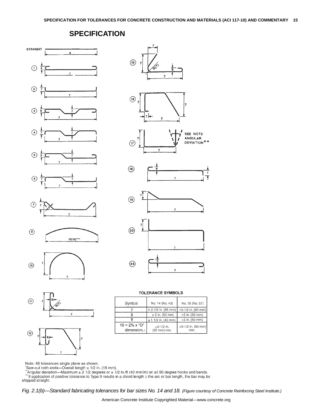SEE NOTE ANGULAR DEVIATION<sup>\*\*</sup>

> 7 T

# **SPECIFICATION**







Note: All tolerances single plane as shown.

Saw-cut both ends-Overall length ± 1/2 in. (15 mm).

Saw-cut both ends—Overall length  $\pm$  1/2 in. (15 mm).<br>
"Angular deviation—Maximum  $\pm$  2 1/2 degrees or  $\pm$  1/2 in./ft (40 mm/m) on all 90 degree hooks and bends.<br>
"If application of positive tolerance to Type 9 results

*Fig. 2.1(b)—Standard fabricating tolerances for bar sizes No. 14 and 18. (Figure courtesy of Concrete Reinforcing Steel Institute.)*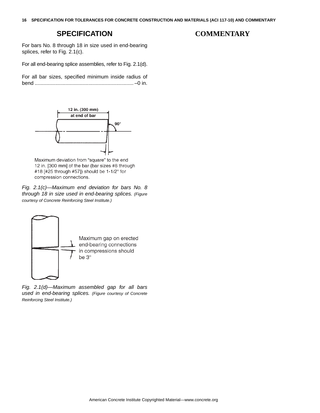For bars No. 8 through 18 in size used in end-bearing splices, refer to Fig. 2.1(c).

For all end-bearing splice assemblies, refer to Fig. 2.1(d).

For all bar sizes, specified minimum inside radius of bend .................................................................... –0 in.



Maximum deviation from "square" to the end 12 in. [300 mm] of the bar (bar sizes #8 through #18 [#25 through #57]) should be 1-1/2° for compression connections.

*Fig. 2.1(c)—Maximum end deviation for bars No. 8 through 18 in size used in end-bearing splices. (Figure courtesy of Concrete Reinforcing Steel Institute.)*



*Fig. 2.1(d)—Maximum assembled gap for all bars used in end-bearing splices. (Figure courtesy of Concrete Reinforcing Steel Institute.)*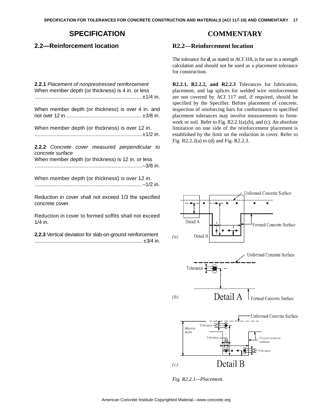# **2.2—Reinforcement location**

# **2.2.1** *Placement of nonprestressed reinforcement* When member depth (or thickness) is 4 in. or less ..........................................................................±1/4 in.

When member depth (or thickness) is over 4 in. and not over 12 in.....................................................±3/8 in.

When member depth (or thickness) is over 12 in. ..........................................................................±1/2 in.

**2.2.2** *Concrete cover measured perpendicular to concrete surface* When member depth (or thickness) is 12 in. or less ..........................................................................–3/8 in.

When member depth (or thickness) is over 12 in. ..........................................................................–1/2 in.

Reduction in cover shall not exceed 1/3 the specified concrete cover.

Reduction in cover to formed soffits shall not exceed  $1/4$  in.

|  |  | 2.2.3 Vertical deviation for slab-on-ground reinforcement |  |
|--|--|-----------------------------------------------------------|--|
|  |  |                                                           |  |

# **R2.2—Reinforcement location**

The tolerance for *d*, as stated in ACI 318, is for use in a strength calculation and should not be used as a placement tolerance for construction.

**R2.2.1, R2.2.2, and R2.2.3** Tolerances for fabrication, placement, and lap splices for welded wire reinforcement are not covered by ACI 117 and, if required, should be specified by the Specifier. Before placement of concrete, inspection of reinforcing bars for conformance to specified placement tolerances may involve measurements to formwork or soil. Refer to Fig. R2.2.1(a),(b), and (c). An absolute limitation on one side of the reinforcement placement is established by the limit on the reduction in cover. Refer to Fig. R2.2.2(a) to (d) and Fig. R2.2.3.



*Fig. R2.2.1—Placement.*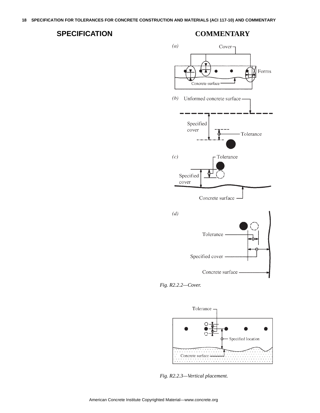

*Fig. R2.2.2—Cover.*



*Fig. R2.2.3—Vertical placement.*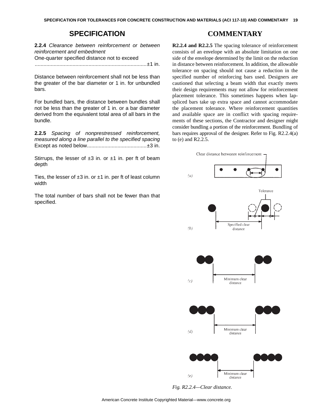**2.2.4** *Clearance between reinforcement or between reinforcement and embedment* One-quarter specified distance not to exceed .............................................................................±1 in.

Distance between reinforcement shall not be less than the greater of the bar diameter or 1 in. for unbundled bars.

For bundled bars, the distance between bundles shall not be less than the greater of 1 in. or a bar diameter derived from the equivalent total area of all bars in the bundle.

**2.2.5** *Spacing of nonprestressed reinforcement, measured along a line parallel to the specified spacing* Except as noted below.........................................±3 in.

Stirrups, the lesser of  $\pm 3$  in. or  $\pm 1$  in. per ft of beam depth

Ties, the lesser of  $\pm 3$  in. or  $\pm 1$  in. per ft of least column width

The total number of bars shall not be fewer than that specified.

**R2.2.4 and R2.2.5** The spacing tolerance of reinforcement consists of an envelope with an absolute limitation on one side of the envelope determined by the limit on the reduction in distance between reinforcement. In addition, the allowable tolerance on spacing should not cause a reduction in the specified number of reinforcing bars used. Designers are cautioned that selecting a beam width that exactly meets their design requirements may not allow for reinforcement placement tolerance. This sometimes happens when lapspliced bars take up extra space and cannot accommodate the placement tolerance. Where reinforcement quantities and available space are in conflict with spacing requirements of these sections, the Contractor and designer might consider bundling a portion of the reinforcement. Bundling of bars requires approval of the designer. Refer to Fig. R2.2.4(a) to (e) and R2.2.5.





*Fig. R2.2.4—Clear distance.*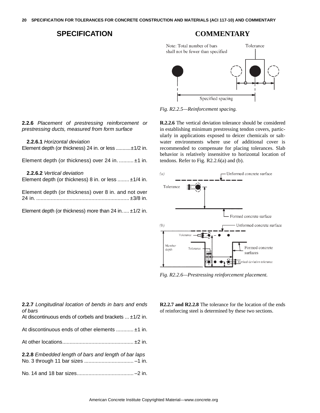

*Fig. R2.2.5—Reinforcement spacing.*

**2.2.6** *Placement of prestressing reinforcement or prestressing ducts, measured from form surface*

**2.2.6.1** *Horizontal deviation*

Element depth (or thickness) 24 in. or less ...........±1/2 in.

Element depth (or thickness) over 24 in. .......... ±1 in.

**2.2.6.2** *Vertical deviation* Element depth (or thickness) 8 in. or less ........ ±1/4 in.

Element depth (or thickness) over 8 in. and not over 24 in. ................................................................ ±3/8 in.

Element depth (or thickness) more than 24 in.... $\pm 1/2$  in.

**R.2.2.6** The vertical deviation tolerance should be considered in establishing minimum prestressing tendon covers, particularly in applications exposed to deicer chemicals or saltwater environments where use of additional cover is recommended to compensate for placing tolerances. Slab behavior is relatively insensitive to horizontal location of tendons. Refer to Fig. R2.2.6(a) and (b).



*Fig. R2.2.6—Prestressing reinforcement placement.*

| 2.2.7 Longitudinal location of bends in bars and ends<br>of bars  |
|-------------------------------------------------------------------|
| At discontinuous ends of corbels and brackets $\dots \pm 1/2$ in. |
| At discontinuous ends of other elements  ±1 in.                   |
|                                                                   |
| <b>2.2.8</b> Embedded length of bars and length of bar laps       |
|                                                                   |

**R2.2.7 and R2.2.8** The tolerance for the location of the ends of reinforcing steel is determined by these two sections.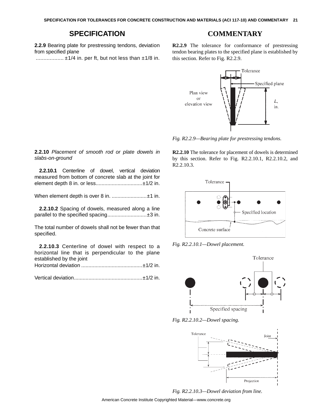**2.2.9** Bearing plate for prestressing tendons, deviation from specified plane

.................. ±1/4 in. per ft, but not less than ±1/8 in.

**R2.2.9** The tolerance for conformance of prestressing tendon bearing plates to the specified plane is established by this section. Refer to Fig. R2.2.9.



*Fig. R2.2.9—Bearing plate for prestressing tendons.*

**R2.2.10** The tolerance for placement of dowels is determined by this section. Refer to Fig. R2.2.10.1, R2.2.10.2, and R2.2.10.3.







*Fig. R2.2.10.2—Dowel spacing.*



*Fig. R2.2.10.3—Dowel deviation from line.*

**2.2.10** *Placement of smooth rod or plate dowels in slabs-on-ground*

**2.2.10.1** Centerline of dowel, vertical deviation measured from bottom of concrete slab at the joint for element depth 8 in. or less................................±1/2 in.

When element depth is over 8 in. .........................±1 in.

**2.2.10.2** Spacing of dowels, measured along a line parallel to the specified spacing..............................±3 in.

The total number of dowels shall not be fewer than that specified.

**2.2.10.3** Centerline of dowel with respect to a horizontal line that is perpendicular to the plane established by the joint Horizontal deviation ..........................................±1/2 in.

Vertical deviation...............................................±1/2 in.

American Concrete Institute Copyrighted Material—www.concrete.org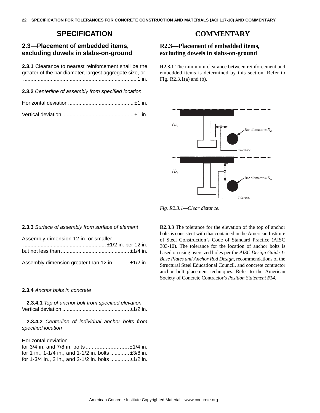# **2.3—Placement of embedded items, excluding dowels in slabs-on-ground**

|  | 2.3.1 Clearance to nearest reinforcement shall be the   |  |
|--|---------------------------------------------------------|--|
|  | greater of the bar diameter, largest aggregate size, or |  |
|  |                                                         |  |

**2.3.2** *Centerline of assembly from specified location*

# **R2.3—Placement of embedded items, excluding dowels in slabs-on-ground**

**R2.3.1** The minimum clearance between reinforcement and embedded items is determined by this section. Refer to Fig. R2.3.1(a) and (b).



*Fig. R2.3.1—Clear distance.*

### **2.3.3** *Surface of assembly from surface of element*

| Assembly dimension 12 in. or smaller |  |
|--------------------------------------|--|
|                                      |  |
|                                      |  |
|                                      |  |

Assembly dimension greater than 12 in. ..........  $\pm$ 1/2 in.

### **2.3.4** *Anchor bolts in concrete*

**2.3.4.1** *Top of anchor bolt from specified elevation* Vertical deviation .............................................. ±1/2 in.

**2.3.4.2** *Centerline of individual anchor bolts from specified location*

Horizontal deviation

|  |  |  |  | for 1 in., 1-1/4 in., and 1-1/2 in. bolts  ±3/8 in. |  |
|--|--|--|--|-----------------------------------------------------|--|
|  |  |  |  | for 1-3/4 in., 2 in., and 2-1/2 in. bolts  ±1/2 in. |  |

**R2.3.3** The tolerance for the elevation of the top of anchor bolts is consistent with that contained in the American Institute of Steel Construction's Code of Standard Practice (AISC 303-10). The tolerance for the location of anchor bolts is based on using oversized holes per the *AISC Design Guide 1: Base Plates and Anchor Rod Design*, recommendations of the Structural Steel Educational Council, and concrete contractor anchor bolt placement techniques. Refer to the American Society of Concrete Contractor's *Position Statement #14*.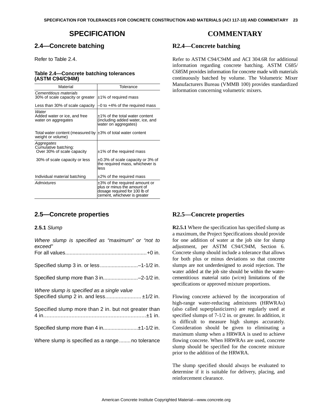# **2.4—Concrete batching**

Refer to Table 2.4.

### **Table 2.4—Concrete batching tolerances (ASTM C94/C94M)**

| Material                                                         | Tolerance                                                                                                                     |
|------------------------------------------------------------------|-------------------------------------------------------------------------------------------------------------------------------|
| Cementitious materials<br>30% of scale capacity or greater       | $±1\%$ of required mass                                                                                                       |
| Less than 30% of scale capacity                                  | -0 to +4% of the required mass                                                                                                |
| Water<br>Added water or ice, and free<br>water on aggregates     | ±1% of the total water content<br>(including added water, ice, and<br>water on aggregates)                                    |
| Total water content (measured by<br>weight or volume)            | $\pm 3\%$ of total water content                                                                                              |
| Aggregates<br>Cumulative batching:<br>Over 30% of scale capacity | $±1\%$ of the required mass                                                                                                   |
| 30% of scale capacity or less                                    | ±0.3% of scale capacity or 3% of<br>the required mass, whichever is<br>less                                                   |
| Individual material batching                                     | ±2% of the required mass                                                                                                      |
| Admixtures                                                       | ±3% of the required amount or<br>plus or minus the amount of<br>dosage required for 100 lb of<br>cement, whichever is greater |

# **2.5—Concrete properties**

### **2.5.1** *Slump*

| Where slump is specified as "maximum" or "not to<br>exceed" |
|-------------------------------------------------------------|
|                                                             |
| Specified slump 3 in. or less-1-1/2 in.                     |
| Specified slump more than 3 in-2-1/2 in.                    |
| Where slump is specified as a single value                  |
| Specified slump 2 in. and less ±1/2 in.                     |
| Specified slump more than 2 in. but not greater than        |
| Specified slump more than 4 in±1-1/2 in.                    |
| Where slump is specified as a range no tolerance            |

# **R2.4—Concrete batching**

Refer to ASTM C94/C94M and ACI 304.6R for additional information regarding concrete batching. ASTM C685/ C685M provides information for concrete made with materials continuously batched by volume. The Volumetric Mixer Manufacturers Bureau (VMMB 100) provides standardized information concerning volumetric mixers.

### **R2.5—Concrete properties**

**R2.5.1** Where the specification has specified slump as a maximum, the Project Specifications should provide for one addition of water at the job site for slump adjustment, per ASTM C94/C94M, Section 6. Concrete slump should include a tolerance that allows for both plus or minus deviations so that concrete slumps are not underdesigned to avoid rejection. The water added at the job site should be within the watercementitious material ratio (*w*/*cm*) limitations of the specifications or approved mixture proportions.

Flowing concrete achieved by the incorporation of high-range water-reducing admixtures (HRWRAs) (also called superplasticizers) are regularly used at specified slumps of 7-1/2 in. or greater. In addition, it is difficult to measure high slumps accurately. Consideration should be given to eliminating a maximum slump when a HRWRA is used to achieve flowing concrete. When HRWRAs are used, concrete slump should be specified for the concrete mixture prior to the addition of the HRWRA.

The slump specified should always be evaluated to determine if it is suitable for delivery, placing, and reinforcement clearance.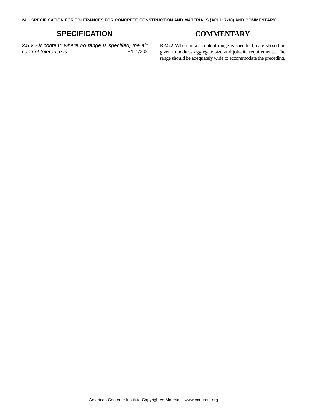**24 SPECIFICATION FOR TOLERANCES FOR CONCRETE CONSTRUCTION AND MATERIALS (ACI 117-10) AND COMMENTARY**

# **SPECIFICATION COMMENTARY**

**2.5.2** *Air content: where no range is specified, the air content tolerance is* ........................................ ±1-1/2%

**R2.5.2** When an air content range is specified, care should be given to address aggregate size and job-site requirements. The range should be adequately wide to accommodate the preceding.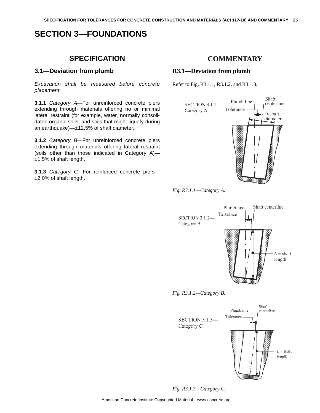# **SECTION 3—FOUNDATIONS**

# **SPECIFICATION COMMENTARY**

# **3.1—Deviation from plumb**

*Excavation shall be measured before concrete placement.*

**3.1.1** *Category A*—For unreinforced concrete piers extending through materials offering no or minimal lateral restraint (for example, water, normally consolidated organic soils, and soils that might liquefy during an earthquake)— $\pm$ 12.5% of shaft diameter.

**3.1.2** *Category B*—For unreinforced concrete piers extending through materials offering lateral restraint (soils other than those indicated in Category A)— ±1.5% of shaft length.

**3.1.3** *Category C*—For reinforced concrete piers— ±2.0% of shaft length.

# **R3.1—Deviation from plumb**

Refer to Fig. R3.1.1, R3.1.2, and R3.1.3.











*Fig. R3.1.3—Category C.*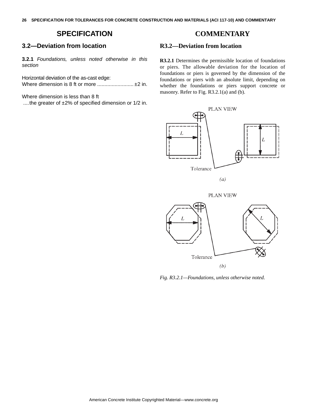# **3.2—Deviation from location**

**3.2.1** *Foundations, unless noted otherwise in this section*

Horizontal deviation of the as-cast edge: Where dimension is 8 ft or more ......................... ±2 in.

Where dimension is less than 8 ft

....the greater of ±2% of specified dimension or 1/2 in.

# **R3.2—Deviation from location**

**R3.2.1** Determines the permissible location of foundations or piers. The allowable deviation for the location of foundations or piers is governed by the dimension of the foundations or piers with an absolute limit, depending on whether the foundations or piers support concrete or masonry. Refer to Fig. R3.2.1(a) and (b).





*Fig. R3.2.1—Foundations, unless otherwise noted.*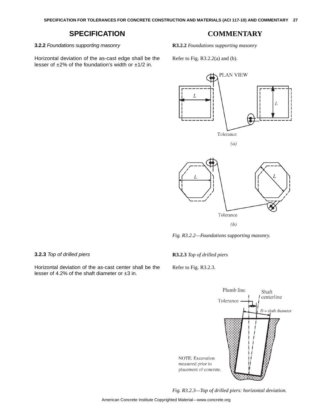**3.2.2** *Foundations supporting masonry*

Horizontal deviation of the as-cast edge shall be the lesser of  $\pm 2\%$  of the foundation's width or  $\pm 1/2$  in.

**R3.2.2** *Foundations supporting masonry*

Refer to Fig. R3.2.2(a) and (b).





*Fig. R3.2.2—Foundations supporting masonry.*

**3.2.3** *Top of drilled piers*

Horizontal deviation of the as-cast center shall be the lesser of 4.2% of the shaft diameter or ±3 in.

### **R3.2.3** *Top of drilled piers*

Refer to Fig. R3.2.3.



*Fig. R3.2.3—Top of drilled piers: horizontal deviation.*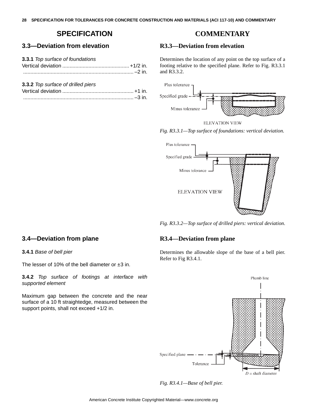# **3.3—Deviation from elevation**

### **3.3.1** *Top surface of foundations*

| 3.3.2 Top surface of drilled piers |  |
|------------------------------------|--|
|                                    |  |
|                                    |  |

# **R3.3—Deviation from elevation**

Determines the location of any point on the top surface of a footing relative to the specified plane. Refer to Fig. R3.3.1 and R3.3.2.









*Fig. R3.3.2—Top surface of drilled piers: vertical deviation.*

# **3.4—Deviation from plane**

### **3.4.1** *Base of bell pier*

The lesser of 10% of the bell diameter or  $\pm 3$  in.

**3.4.2** *Top surface of footings at interface with supported element*

Maximum gap between the concrete and the near surface of a 10 ft straightedge, measured between the support points, shall not exceed +1/2 in.

# **R3.4—Deviation from plane**

Determines the allowable slope of the base of a bell pier. Refer to Fig R3.4.1.



*Fig. R3.4.1—Base of bell pier.*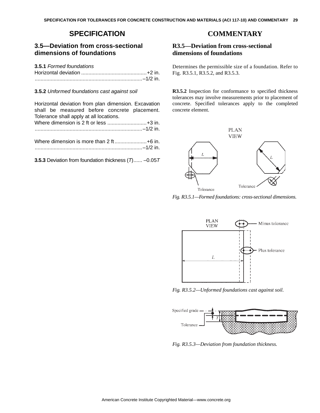# **3.5—Deviation from cross-sectional dimensions of foundations**

# **3.5.1** *Formed foundations*

### **3.5.2** *Unformed foundations cast against soil*

Horizontal deviation from plan dimension. Excavation shall be measured before concrete placement. Tolerance shall apply at all locations. Where dimension is 2 ft or less ...........................+3 in. ..........................................................................–1/2 in.

**3.5.3** Deviation from foundation thickness (*T*)...... –0.05*T*

# **R3.5—Deviation from cross-sectional dimensions of foundations**

Determines the permissible size of a foundation. Refer to Fig. R3.5.1, R3.5.2, and R3.5.3.

**R3.5.2** Inspection for conformance to specified thickness tolerances may involve measurements prior to placement of concrete. Specified tolerances apply to the completed concrete element.



*Fig. R3.5.1—Formed foundations: cross-sectional dimensions.*



*Fig. R3.5.2—Unformed foundations cast against soil.*



*Fig. R3.5.3—Deviation from foundation thickness.*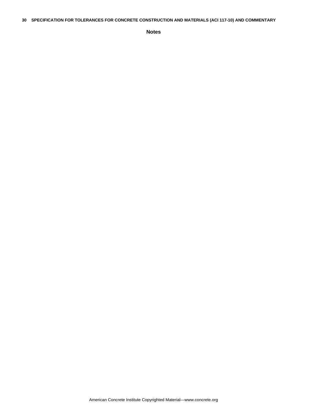**Notes**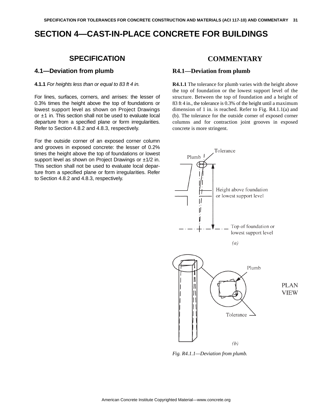# **SECTION 4—CAST-IN-PLACE CONCRETE FOR BUILDINGS**

# **SPECIFICATION COMMENTARY**

# **4.1—Deviation from plumb**

#### **4.1.1** *For heights less than or equal to 83 ft 4 in.*

For lines, surfaces, corners, and arrises: the lesser of 0.3% times the height above the top of foundations or lowest support level as shown on Project Drawings or ±1 in. This section shall not be used to evaluate local departure from a specified plane or form irregularities. Refer to Section 4.8.2 and 4.8.3, respectively.

For the outside corner of an exposed corner column and grooves in exposed concrete: the lesser of 0.2% times the height above the top of foundations or lowest support level as shown on Project Drawings or  $\pm 1/2$  in. This section shall not be used to evaluate local departure from a specified plane or form irregularities. Refer to Section 4.8.2 and 4.8.3, respectively.

### **R4.1—Deviation from plumb**

**R4.1.1** The tolerance for plumb varies with the height above the top of foundation or the lowest support level of the structure. Between the top of foundation and a height of 83 ft 4 in., the tolerance is 0.3% of the height until a maximum dimension of 1 in. is reached. Refer to Fig. R4.1.1(a) and (b). The tolerance for the outside corner of exposed corner columns and for contraction joint grooves in exposed concrete is more stringent.



*Fig. R4.1.1—Deviation from plumb.*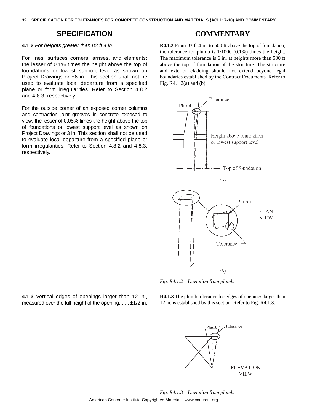### **4.1.2** *For heights greater than 83 ft 4 in.*

For lines, surfaces corners, arrises, and elements: the lesser of 0.1% times the height above the top of foundations or lowest support level as shown on Project Drawings or ±6 in. This section shall not be used to evaluate local departure from a specified plane or form irregularities. Refer to Section 4.8.2 and 4.8.3, respectively.

For the outside corner of an exposed corner columns and contraction joint grooves in concrete exposed to view: the lesser of 0.05% times the height above the top of foundations or lowest support level as shown on Project Drawings or 3 in. This section shall not be used to evaluate local departure from a specified plane or form irregularities. Refer to Section 4.8.2 and 4.8.3, respectively.

# **SPECIFICATION COMMENTARY**

**R4.1.2** From 83 ft 4 in. to 500 ft above the top of foundation, the tolerance for plumb is 1/1000 (0.1%) times the height. The maximum tolerance is 6 in. at heights more than 500 ft above the top of foundation of the structure. The structure and exterior cladding should not extend beyond legal boundaries established by the Contract Documents. Refer to Fig. R4.1.2(a) and (b).



*Fig. R4.1.2—Deviation from plumb.*

**4.1.3** Vertical edges of openings larger than 12 in., measured over the full height of the opening....... ±1/2 in. **R4.1.3** The plumb tolerance for edges of openings larger than 12 in. is established by this section. Refer to Fig. R4.1.3.



American Concrete Institute Copyrighted Material—www.concrete.org *Fig. R4.1.3—Deviation from plumb.*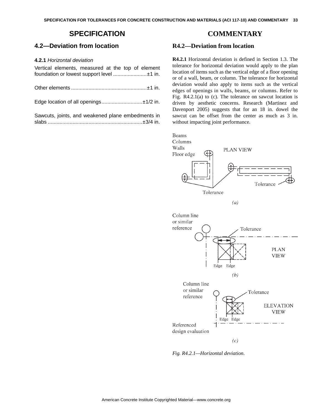# **4.2—Deviation from location**

### **4.2.1** *Horizontal deviation*

Vertical elements, measured at the top of element foundation or lowest support level .......................±1 in.

| Edge location of all openings±1/2 in. |  |  |
|---------------------------------------|--|--|
|---------------------------------------|--|--|

|  |  | Sawcuts, joints, and weakened plane embedments in |  |
|--|--|---------------------------------------------------|--|
|  |  |                                                   |  |

# **R4.2—Deviation from location**

**R4.2.1** Horizontal deviation is defined in Section 1.3. The tolerance for horizontal deviation would apply to the plan location of items such as the vertical edge of a floor opening or of a wall, beam, or column. The tolerance for horizontal deviation would also apply to items such as the vertical edges of openings in walls, beams, or columns. Refer to Fig. R4.2.1(a) to (c). The tolerance on sawcut location is driven by aesthetic concerns. Research (Martinez and Davenport 2005) suggests that for an 18 in. dowel the sawcut can be offset from the center as much as 3 in. without impacting joint performance.



*Fig. R4.2.1—Horizontal deviation.*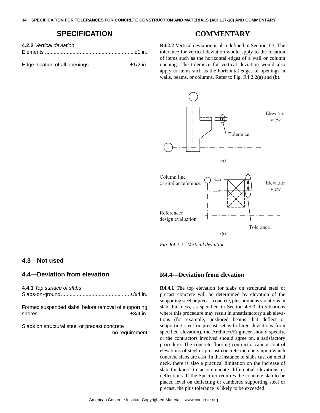### **4.2.2** *Vertical deviation*

Edge location of all openings ........................... ±1/2 in.

**R4.2.2** Vertical deviation is also defined in Section 1.3. The tolerance for vertical deviation would apply to the location of items such as the horizontal edges of a wall or column opening. The tolerance for vertical deviation would also apply to items such as the horizontal edges of openings in walls, beams, or columns. Refer to Fig. R4.2.2(a) and (b).



*Fig. R4.2.2—Vertical deviation.*

# **4.3—Not used**

# **4.4—Deviation from elevation**

| 4.4.1 Top surface of slabs                           |  |
|------------------------------------------------------|--|
| Formed suspended slabs, before removal of supporting |  |
| Slabs on structural steel or precast concrete        |  |
|                                                      |  |

### **R4.4—Deviation from elevation**

**R4.4.1** The top elevation for slabs on structural steel or precast concrete will be determined by elevation of the supporting steel or precast concrete, plus or minus variations in slab thickness, as specified in Section 4.5.3. In situations where this procedure may result in unsatisfactory slab elevations (for example, unshored beams that deflect or supporting steel or precast set with large deviations from specified elevation), the Architect/Engineer should specify, or the contractors involved should agree on, a satisfactory procedure. The concrete flooring contractor cannot control elevations of steel or precast concrete members upon which concrete slabs are cast. In the instance of slabs cast on metal deck, there is also a practical limitation on the increase of slab thickness to accommodate differential elevations or deflections. If the Specifier requires the concrete slab to be placed level on deflecting or cambered supporting steel or precast, the plus tolerance is likely to be exceeded.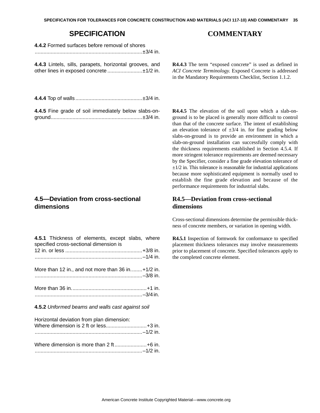| 4.4.2 Formed surfaces before removal of shores |  |
|------------------------------------------------|--|
|                                                |  |

**4.4.3** Lintels, sills, parapets, horizontal grooves, and other lines in exposed concrete ........................±1/2 in.

**R4.4.3** The term "exposed concrete" is used as defined in *ACI Concrete Terminology*. Exposed Concrete is addressed in the Mandatory Requirements Checklist, Section 1.1.2.

**4.4.4** Top of walls ..............................................±3/4 in.

**4.4.5** Fine grade of soil immediately below slabs-onground...............................................................±3/4 in. **R4.4.5** The elevation of the soil upon which a slab-onground is to be placed is generally more difficult to control than that of the concrete surface. The intent of establishing an elevation tolerance of  $\pm 3/4$  in. for fine grading below slabs-on-ground is to provide an environment in which a slab-on-ground installation can successfully comply with the thickness requirements established in Section 4.5.4. If more stringent tolerance requirements are deemed necessary by the Specifier, consider a fine grade elevation tolerance of  $\pm 1/2$  in. This tolerance is reasonable for industrial applications because more sophisticated equipment is normally used to establish the fine grade elevation and because of the performance requirements for industrial slabs.

# **4.5—Deviation from cross-sectional dimensions**

| 4.5.1 Thickness of elements, except slabs, where<br>specified cross-sectional dimension is |  |
|--------------------------------------------------------------------------------------------|--|
|                                                                                            |  |
|                                                                                            |  |
| More than 12 in., and not more than 36 in+1/2 in.                                          |  |
|                                                                                            |  |
|                                                                                            |  |

**4.5.2** *Unformed beams and walls cast against soil*

| Horizontal deviation from plan dimension: |  |
|-------------------------------------------|--|
|                                           |  |
|                                           |  |
|                                           |  |
|                                           |  |
|                                           |  |

## **R4.5—Deviation from cross-sectional dimensions**

Cross-sectional dimensions determine the permissible thickness of concrete members, or variation in opening width.

**R4.5.1** Inspection of formwork for conformance to specified placement thickness tolerances may involve measurements prior to placement of concrete. Specified tolerances apply to the completed concrete element.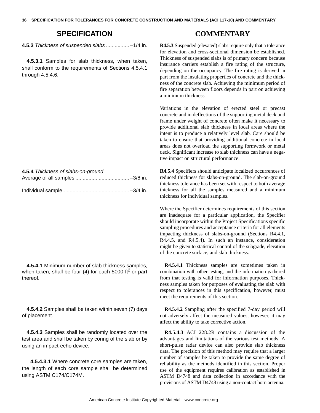**4.5.3** *Thickness of suspended slabs* ................ –1/4 in.

**4.5.3.1** Samples for slab thickness, when taken, shall conform to the requirements of Sections 4.5.4.1 through 4.5.4.6.

| 4.5.4 Thickness of slabs-on-ground |  |
|------------------------------------|--|
|                                    |  |

|--|--|

**4.5.4.1** Minimum number of slab thickness samples, when taken, shall be four (4) for each 5000 ft $^2$  or part thereof.

**4.5.4.2** Samples shall be taken within seven (7) days of placement.

**4.5.4.3** Samples shall be randomly located over the test area and shall be taken by coring of the slab or by using an impact-echo device.

**4.5.4.3.1** Where concrete core samples are taken, the length of each core sample shall be determined using ASTM C174/C174M.

## **SPECIFICATION COMMENTARY**

**R4.5.3** Suspended (elevated) slabs require only that a tolerance for elevation and cross-sectional dimension be established. Thickness of suspended slabs is of primary concern because insurance carriers establish a fire rating of the structure, depending on the occupancy. The fire rating is derived in part from the insulating properties of concrete and the thickness of the concrete slab. Achieving the minimum period of fire separation between floors depends in part on achieving a minimum thickness.

Variations in the elevation of erected steel or precast concrete and in deflections of the supporting metal deck and frame under weight of concrete often make it necessary to provide additional slab thickness in local areas where the intent is to produce a relatively level slab. Care should be taken to ensure that providing additional concrete in local areas does not overload the supporting formwork or metal deck. Significant increase to slab thickness can have a negative impact on structural performance.

**R4.5.4** Specifiers should anticipate localized occurrences of reduced thickness for slabs-on-ground. The slab-on-ground thickness tolerance has been set with respect to both average thickness for all the samples measured and a minimum thickness for individual samples.

Where the Specifier determines requirements of this section are inadequate for a particular application, the Specifier should incorporate within the Project Specifications specific sampling procedures and acceptance criteria for all elements impacting thickness of slabs-on-ground (Sections R4.4.1, R4.4.5, and R4.5.4). In such an instance, consideration might be given to statistical control of the subgrade, elevation of the concrete surface, and slab thickness.

**R4.5.4.1** Thickness samples are sometimes taken in combination with other testing, and the information gathered from that testing is valid for information purposes. Thickness samples taken for purposes of evaluating the slab with respect to tolerances in this specification, however, must meet the requirements of this section.

**R4.5.4.2** Sampling after the specified 7-day period will not adversely affect the measured values; however, it may affect the ability to take corrective action.

**R4.5.4.3** ACI 228.2R contains a discussion of the advantages and limitations of the various test methods. A short-pulse radar device can also provide slab thickness data. The precision of this method may require that a larger number of samples be taken to provide the same degree of reliability as the methods identified in this section. Proper use of the equipment requires calibration as established in ASTM D4748 and data collection in accordance with the provisions of ASTM D4748 using a non-contact horn antenna.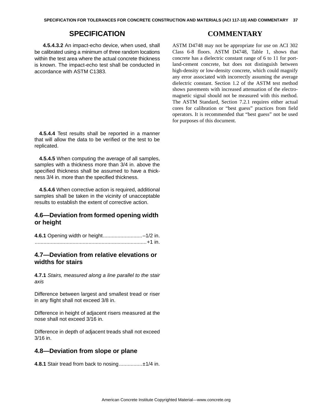**4.5.4.3.2** An impact-echo device, when used, shall be calibrated using a minimum of three random locations within the test area where the actual concrete thickness is known. The impact-echo test shall be conducted in accordance with ASTM C1383.

**4.5.4.4** Test results shall be reported in a manner that will allow the data to be verified or the test to be replicated.

**4.5.4.5** When computing the average of all samples, samples with a thickness more than 3/4 in. above the specified thickness shall be assumed to have a thickness 3/4 in. more than the specified thickness.

**4.5.4.6** When corrective action is required, additional samples shall be taken in the vicinity of unacceptable results to establish the extent of corrective action.

# **4.6—Deviation from formed opening width or height**

| 4.6.1 Opening width or height-1/2 in. |  |
|---------------------------------------|--|
|                                       |  |

# **4.7—Deviation from relative elevations or widths for stairs**

**4.7.1** *Stairs, measured along a line parallel to the stair axis*

Difference between largest and smallest tread or riser in any flight shall not exceed 3/8 in.

Difference in height of adjacent risers measured at the nose shall not exceed 3/16 in.

Difference in depth of adjacent treads shall not exceed 3/16 in.

# **4.8—Deviation from slope or plane**

**4.8.1** Stair tread from back to nosing................±1/4 in.

ASTM D4748 may not be appropriate for use on ACI 302 Class 6-8 floors. ASTM D4748, Table 1, shows that concrete has a dielectric constant range of 6 to 11 for portland-cement concrete, but does not distinguish between high-density or low-density concrete, which could magnify any error associated with incorrectly assuming the average dielectric constant. Section 1.2 of the ASTM test method shows pavements with increased attenuation of the electromagnetic signal should not be measured with this method. The ASTM Standard, Section 7.2.1 requires either actual cores for calibration or "best guess" practices from field operators. It is recommended that "best guess" not be used for purposes of this document.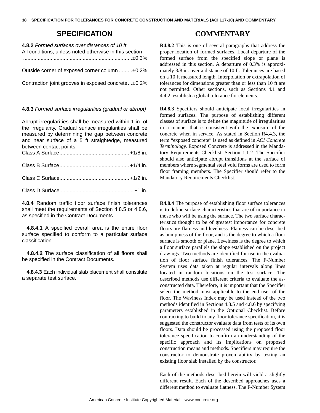**4.8.2** *Formed surfaces over distances of 10 ft* All conditions, unless noted otherwise in this section ...........................................................................±0.3%

Outside corner of exposed corner column .........±0.2%

Contraction joint grooves in exposed concrete...±0.2%

### **4.8.3** *Formed surface irregularities (gradual or abrupt)*

Abrupt irregularities shall be measured within 1 in. of the irregularity. Gradual surface irregularities shall be measured by determining the gap between concrete and near surface of a 5 ft straightedge, measured between contact points. Class A Surface................................................ +1/8 in.

**4.8.4** Random traffic floor surface finish tolerances shall meet the requirements of Section 4.8.5 or 4.8.6, as specified in the Contract Documents.

**4.8.4.1** A specified overall area is the entire floor surface specified to conform to a particular surface classification.

**4.8.4.2** The surface classification of all floors shall be specified in the Contract Documents.

**4.8.4.3** Each individual slab placement shall constitute a separate test surface.

## **SPECIFICATION COMMENTARY**

**R4.8.2** This is one of several paragraphs that address the proper location of formed surfaces. Local departure of the formed surface from the specified slope or plane is addressed in this section. A departure of 0.3% is approximately 3/8 in. over a distance of 10 ft. Tolerances are based on a 10 ft measured length. Interpolation or extrapolation of tolerances for dimensions greater than or less than 10 ft are not permitted. Other sections, such as Sections 4.1 and 4.4.2, establish a global tolerance for elements.

**R4.8.3** Specifiers should anticipate local irregularities in formed surfaces. The purpose of establishing different classes of surface is to define the magnitude of irregularities in a manner that is consistent with the exposure of the concrete when in service. As stated in Section R4.4.3, the term "exposed concrete" is used as defined in *ACI Concrete Terminology*. Exposed Concrete is addressed in the Mandatory Requirements Checklist, Section 1.1.2. The Specifier should also anticipate abrupt transitions at the surface of members where segmental steel void forms are used to form floor framing members. The Specifier should refer to the Mandatory Requirements Checklist.

**R4.8.4** The purpose of establishing floor surface tolerances is to define surface characteristics that are of importance to those who will be using the surface. The two surface characteristics thought to be of greatest importance for concrete floors are flatness and levelness. Flatness can be described as bumpiness of the floor, and is the degree to which a floor surface is smooth or plane. Levelness is the degree to which a floor surface parallels the slope established on the project drawings. Two methods are identified for use in the evaluation of floor surface finish tolerances. The F-Number System uses data taken at regular intervals along lines located in random locations on the test surface. The described methods use different criteria to evaluate the asconstructed data. Therefore, it is important that the Specifier select the method most applicable to the end user of the floor. The Waviness Index may be used instead of the two methods identified in Sections 4.8.5 and 4.8.6 by specifying parameters established in the Optional Checklist. Before contracting to build to any floor tolerance specification, it is suggested the constructor evaluate data from tests of its own floors. Data should be processed using the proposed floor tolerance specification to confirm an understanding of the specific approach and its implications on proposed construction means and methods. Specifiers may require the constructor to demonstrate proven ability by testing an existing floor slab installed by the constructor.

Each of the methods described herein will yield a slightly different result. Each of the described approaches uses a different method to evaluate flatness. The F-Number System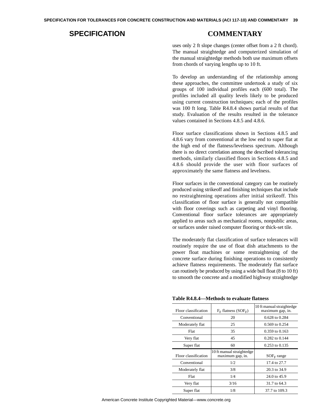uses only 2 ft slope changes (center offset from a 2 ft chord). The manual straightedge and computerized simulation of the manual straightedge methods both use maximum offsets from chords of varying lengths up to 10 ft.

To develop an understanding of the relationship among these approaches, the committee undertook a study of six groups of 100 individual profiles each (600 total). The profiles included all quality levels likely to be produced using current construction techniques; each of the profiles was 100 ft long. Table R4.8.4 shows partial results of that study. Evaluation of the results resulted in the tolerance values contained in Sections 4.8.5 and 4.8.6.

Floor surface classifications shown in Sections 4.8.5 and 4.8.6 vary from conventional at the low end to super flat at the high end of the flatness/levelness spectrum. Although there is no direct correlation among the described tolerancing methods, similarly classified floors in Sections 4.8.5 and 4.8.6 should provide the user with floor surfaces of approximately the same flatness and levelness.

Floor surfaces in the conventional category can be routinely produced using strikeoff and finishing techniques that include no restraightening operations after initial strikeoff. This classification of floor surface is generally not compatible with floor coverings such as carpeting and vinyl flooring. Conventional floor surface tolerances are appropriately applied to areas such as mechanical rooms, nonpublic areas, or surfaces under raised computer flooring or thick-set tile.

The moderately flat classification of surface tolerances will routinely require the use of float dish attachments to the power float machines or some restraightening of the concrete surface during finishing operations to consistently achieve flatness requirements. The moderately flat surface can routinely be produced by using a wide bull float (8 to 10 ft) to smooth the concrete and a modified highway straightedge

| Floor classification | $F_F$ flatness (SOF <sub>F</sub> )            | 10 ft manual straightedge<br>maximum gap, in. |
|----------------------|-----------------------------------------------|-----------------------------------------------|
| Conventional         | 20                                            | $0.628$ to $0.284$                            |
| Moderately flat      | 25                                            | 0.569 to 0.254                                |
| Flat                 | 35                                            | $0.359$ to $0.163$                            |
| Very flat            | 45                                            | $0.282$ to $0.144$                            |
| Super flat           | 60                                            | 0.253 to 0.135                                |
|                      |                                               |                                               |
| Floor classification | 10 ft manual straightedge<br>maximum gap, in. | $SOFF$ range                                  |
| Conventional         | 1/2                                           | 17.4 to 27.7                                  |
| Moderately flat      | 3/8                                           | 20.3 to 34.9                                  |
| Flat                 | 1/4                                           | 24.0 to 45.9                                  |
| Very flat            | 3/16                                          | 31.7 to 64.3                                  |

### **Table R4.8.4—Methods to evaluate flatness**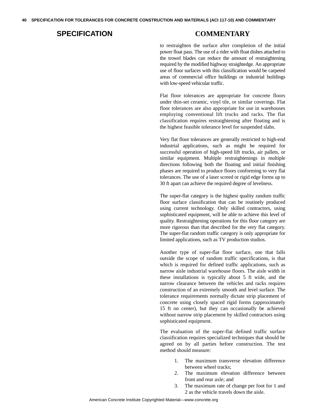to restraighten the surface after completion of the initial power float pass. The use of a rider with float dishes attached to the trowel blades can reduce the amount of restraightening required by the modified highway straightedge. An appropriate use of floor surfaces with this classification would be carpeted areas of commercial office buildings or industrial buildings with low-speed vehicular traffic.

Flat floor tolerances are appropriate for concrete floors under thin-set ceramic, vinyl tile, or similar coverings. Flat floor tolerances are also appropriate for use in warehouses employing conventional lift trucks and racks. The flat classification requires restraightening after floating and is the highest feasible tolerance level for suspended slabs.

Very flat floor tolerances are generally restricted to high-end industrial applications, such as might be required for successful operation of high-speed lift trucks, air pallets, or similar equipment. Multiple restraightenings in multiple directions following both the floating and initial finishing phases are required to produce floors conforming to very flat tolerances. The use of a laser screed or rigid edge forms up to 30 ft apart can achieve the required degree of levelness.

The super-flat category is the highest quality random traffic floor surface classification that can be routinely produced using current technology. Only skilled contractors, using sophisticated equipment, will be able to achieve this level of quality. Restraightening operations for this floor category are more rigorous than that described for the very flat category. The super-flat random traffic category is only appropriate for limited applications, such as TV production studios.

Another type of super-flat floor surface, one that falls outside the scope of random traffic specifications, is that which is required for defined traffic applications, such as narrow aisle industrial warehouse floors. The aisle width in these installations is typically about 5 ft wide, and the narrow clearance between the vehicles and racks requires construction of an extremely smooth and level surface. The tolerance requirements normally dictate strip placement of concrete using closely spaced rigid forms (approximately 15 ft on center), but they can occasionally be achieved without narrow strip placement by skilled contractors using sophisticated equipment.

The evaluation of the super-flat defined traffic surface classification requires specialized techniques that should be agreed on by all parties before construction. The test method should measure:

- 1. The maximum transverse elevation difference between wheel tracks;
- 2. The maximum elevation difference between front and rear axle; and
- 3. The maximum rate of change per foot for 1 and 2 as the vehicle travels down the aisle.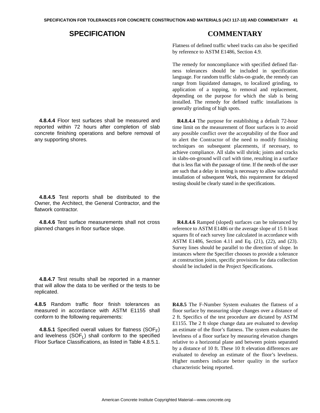Flatness of defined traffic wheel tracks can also be specified by reference to ASTM E1486, Section 4.9.

The remedy for noncompliance with specified defined flatness tolerances should be included in specification language. For random traffic slabs-on-grade, the remedy can range from liquidated damages, to localized grinding, to application of a topping, to removal and replacement, depending on the purpose for which the slab is being installed. The remedy for defined traffic installations is generally grinding of high spots.

**R4.8.4.4** The purpose for establishing a default 72-hour time limit on the measurement of floor surfaces is to avoid any possible conflict over the acceptability of the floor and to alert the Contractor of the need to modify finishing techniques on subsequent placements, if necessary, to achieve compliance. All slabs will shrink; joints and cracks in slabs-on-ground will curl with time, resulting in a surface that is less flat with the passage of time. If the needs of the user are such that a delay in testing is necessary to allow successful installation of subsequent Work, this requirement for delayed testing should be clearly stated in the specifications.

**R4.8.4.6** Ramped (sloped) surfaces can be toleranced by reference to ASTM E1486 or the average slope of 15 ft least squares fit of each survey line calculated in accordance with ASTM E1486, Section 4.11 and Eq. (21), (22), and (23). Survey lines should be parallel to the direction of slope. In instances where the Specifier chooses to provide a tolerance at construction joints, specific provisions for data collection

should be included in the Project Specifications.

**4.8.4.5** Test reports shall be distributed to the Owner, the Architect, the General Contractor, and the flatwork contractor.

**4.8.4.6** Test surface measurements shall not cross planned changes in floor surface slope.

**4.8.4.7** Test results shall be reported in a manner that will allow the data to be verified or the tests to be replicated.

**4.8.5** Random traffic floor finish tolerances as measured in accordance with ASTM E1155 shall conform to the following requirements:

**4.8.5.1** Specified overall values for flatness  $(SOF_F)$ and levelness  $(SOF<sub>L</sub>)$  shall conform to the specified Floor Surface Classifications, as listed in Table 4.8.5.1. **R4.8.5** The F-Number System evaluates the flatness of a floor surface by measuring slope changes over a distance of 2 ft. Specifics of the test procedure are dictated by ASTM E1155. The 2 ft slope change data are evaluated to develop an estimate of the floor's flatness. The system evaluates the levelness of a floor surface by measuring elevation changes relative to a horizontal plane and between points separated by a distance of 10 ft. These 10 ft elevation differences are evaluated to develop an estimate of the floor's levelness. Higher numbers indicate better quality in the surface characteristic being reported.

# **SPECIFICATION COMMENTARY**

**4.8.4.4** Floor test surfaces shall be measured and reported within 72 hours after completion of slab concrete finishing operations and before removal of any supporting shores.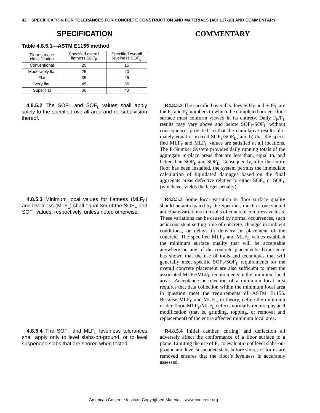### **Table 4.8.5.1—ASTM E1155 method**

| Floor surface<br>classification | Specified overall<br>flatness $SOF_F$ | Specified overall<br>levelness SOFL |
|---------------------------------|---------------------------------------|-------------------------------------|
| Conventional                    | 20                                    | 15                                  |
| Moderately flat                 | 25                                    | 20                                  |
| Flat                            | 35                                    | 25                                  |
| Very flat                       | 45                                    | 35                                  |
| Super flat                      | 60                                    |                                     |

**4.8.5.2** The SOF<sub>F</sub> and SOF<sub>I</sub> values shall apply solely to the specified overall area and no subdivision thereof.

**4.8.5.3** Minimum local values for flatness (MLF<sub>F</sub>) and levelness (MLF<sub>I</sub>) shall equal 3/5 of the SOF<sub>F</sub> and  $SOF<sub>L</sub>$  values, respectively, unless noted otherwise.

**4.8.5.4** The SOF<sub>L</sub> and MLF<sub>L</sub> levelness tolerances shall apply only to level slabs-on-ground, or to level suspended slabs that are shored when tested.

# **SPECIFICATION COMMENTARY**

**R4.8.5.2** The specified overall values  $SOF_F$  and  $SOF_L$  are the  $F_F$  and  $F_L$  numbers to which the completed project floor surface must conform viewed in its entirety. Daily  $F_F/F_L$ results may vary above and below  $SOF_F/SOF_L$  without consequence, provided: a) that the cumulative results ultimately equal or exceed  $SOF_F/SOF_L$ , and b) that the specified  $MLF_F$  and  $MLF_L$  values are satisfied at all locations. The F-Number System provides daily running totals of the aggregate in-place areas that are less than, equal to, and better than  $SOF_F$  and  $SOF_L$ . Consequently, after the entire floor has been installed, the system permits the immediate calculation of liquidated damages based on the final aggregate areas defective relative to either  $SOF_F$  or  $SOF_L$ (whichever yields the larger penalty).

**R4.8.5.3** Some local variation in floor surface quality should be anticipated by the Specifier, much as one should anticipate variations in results of concrete compressive tests. These variations can be caused by normal occurrences, such as inconsistent setting time of concrete, changes in ambient conditions, or delays in delivery or placement of the concrete. The specified  $MLF_F$  and  $MLF_L$  values establish the minimum surface quality that will be acceptable anywhere on any of the concrete placements. Experience has shown that the use of tools and techniques that will generally meet specific  $SOF_F/SOF_L$  requirements for the overall concrete placement are also sufficient to meet the associated  $MLF_F/MLF_L$  requirements in the minimum local areas. Acceptance or rejection of a minimum local area requires that data collection within the minimum local area in question meet the requirements of ASTM E1155. Because  $MLF_F$  and  $MLF_L$ , in theory, define the minimum usable floor,  $MLF_F/MLF_L$  defects normally require physical modification (that is, grinding, topping, or removal and replacement) of the entire affected minimum local area.

**R4.8.5.4** Initial camber, curling, and deflection all adversely affect the conformance of a floor surface to a plane. Limiting the use of  $F<sub>L</sub>$  to evaluation of level slabs-onground and level suspended slabs before shores or forms are removed ensures that the floor's levelness is accurately assessed.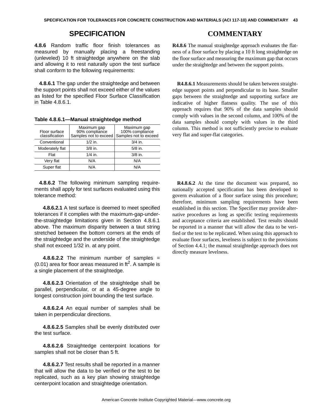**4.8.6** Random traffic floor finish tolerances as measured by manually placing a freestanding (unleveled) 10 ft straightedge anywhere on the slab and allowing it to rest naturally upon the test surface shall conform to the following requirements:

**4.8.6.1** The gap under the straightedge and between the support points shall not exceed either of the values as listed for the specified Floor Surface Classification in Table 4.8.6.1.

| Floor surface<br>classification | Maximum gap<br>90% compliance | Maximum gap<br>100% compliance<br>Samples not to exceed Samples not to exceed |
|---------------------------------|-------------------------------|-------------------------------------------------------------------------------|
| Conventional                    | $1/2$ in.                     | $3/4$ in.                                                                     |
| Moderately flat                 | $3/8$ in.                     | $5/8$ in.                                                                     |
| Flat                            | $1/4$ in.                     | $3/8$ in.                                                                     |
| Very flat                       | N/A                           | N/A                                                                           |
| Super flat                      | N/A                           | N/A                                                                           |

**Table 4.8.6.1—Manual straightedge method**

**4.8.6.2** The following minimum sampling requirements shall apply for test surfaces evaluated using this tolerance method:

**4.8.6.2.1** A test surface is deemed to meet specified tolerances if it complies with the maximum-gap-underthe-straightedge limitations given in Section 4.8.6.1 above. The maximum disparity between a taut string stretched between the bottom corners at the ends of the straightedge and the underside of the straightedge shall not exceed 1/32 in. at any point.

**4.8.6.2.2** The minimum number of samples = (0.01) area for floor areas measured in  $\text{ft}^2$ . A sample is a single placement of the straightedge.

**4.8.6.2.3** Orientation of the straightedge shall be parallel, perpendicular, or at a 45-degree angle to longest construction joint bounding the test surface.

**4.8.6.2.4** An equal number of samples shall be taken in perpendicular directions.

**4.8.6.2.5** Samples shall be evenly distributed over the test surface.

**4.8.6.2.6** Straightedge centerpoint locations for samples shall not be closer than 5 ft.

**4.8.6.2.7** Test results shall be reported in a manner that will allow the data to be verified or the test to be replicated, such as a key plan showing straightedge centerpoint location and straightedge orientation.

**R4.8.6** The manual straightedge approach evaluates the flatness of a floor surface by placing a 10 ft long straightedge on the floor surface and measuring the maximum gap that occurs under the straightedge and between the support points.

**R4.8.6.1** Measurements should be taken between straightedge support points and perpendicular to its base. Smaller gaps between the straightedge and supporting surface are indicative of higher flatness quality. The use of this approach requires that 90% of the data samples should comply with values in the second column, and 100% of the data samples should comply with values in the third column. This method is not sufficiently precise to evaluate very flat and super-flat categories.

**R4.8.6.2** At the time the document was prepared, no nationally accepted specification has been developed to govern evaluation of a floor surface using this procedure; therefore, minimum sampling requirements have been established in this section. The Specifier may provide alternative procedures as long as specific testing requirements and acceptance criteria are established. Test results should be reported in a manner that will allow the data to be verified or the test to be replicated. When using this approach to evaluate floor surfaces, levelness is subject to the provisions of Section 4.4.1; the manual straightedge approach does not directly measure levelness.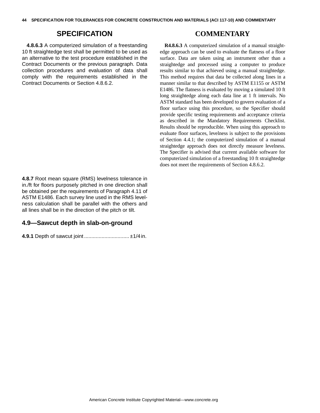**4.8.6.3** A computerized simulation of a freestanding 10 ft straightedge test shall be permitted to be used as an alternative to the test procedure established in the Contract Documents or the previous paragraph. Data collection procedures and evaluation of data shall comply with the requirements established in the Contract Documents or Section 4.8.6.2.

**4.8.7** Root mean square (RMS) levelness tolerance in in./ft for floors purposely pitched in one direction shall be obtained per the requirements of Paragraph 4.11 of ASTM E1486. Each survey line used in the RMS levelness calculation shall be parallel with the others and all lines shall be in the direction of the pitch or tilt.

# **4.9—Sawcut depth in slab-on-ground**

**4.9.1** Depth of sawcut joint ................................... ±1/4 in.

## **SPECIFICATION COMMENTARY**

**R4.8.6.3** A computerized simulation of a manual straightedge approach can be used to evaluate the flatness of a floor surface. Data are taken using an instrument other than a straightedge and processed using a computer to produce results similar to that achieved using a manual straightedge. This method requires that data be collected along lines in a manner similar to that described by ASTM E1155 or ASTM E1486. The flatness is evaluated by moving a simulated 10 ft long straightedge along each data line at 1 ft intervals. No ASTM standard has been developed to govern evaluation of a floor surface using this procedure, so the Specifier should provide specific testing requirements and acceptance criteria as described in the Mandatory Requirements Checklist. Results should be reproducible. When using this approach to evaluate floor surfaces, levelness is subject to the provisions of Section 4.4.1; the computerized simulation of a manual straightedge approach does not directly measure levelness. The Specifier is advised that current available software for computerized simulation of a freestanding 10 ft straightedge does not meet the requirements of Section 4.8.6.2.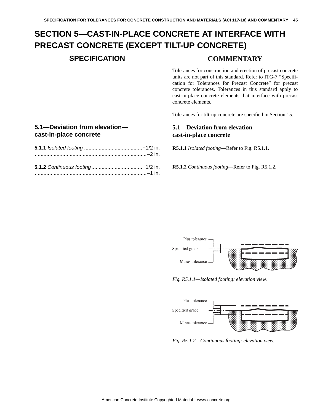# **SPECIFICATION COMMENTARY SECTION 5—CAST-IN-PLACE CONCRETE AT INTERFACE WITH PRECAST CONCRETE (EXCEPT TILT-UP CONCRETE)**

Tolerances for construction and erection of precast concrete units are not part of this standard. Refer to ITG-7 "Specification for Tolerances for Precast Concrete" for precast concrete tolerances. Tolerances in this standard apply to cast-in-place concrete elements that interface with precast concrete elements.

Tolerances for tilt-up concrete are specified in Section 15.

# **5.1—Deviation from elevation cast-in-place concrete**

**R5.1.1** *Isolated footing*—Refer to Fig. R5.1.1.

**R5.1.2** *Continuous footing*—Refer to Fig. R5.1.2.



*Fig. R5.1.1—Isolated footing: elevation view.*



*Fig. R5.1.2—Continuous footing: elevation view.*

# **5.1—Deviation from elevation cast-in-place concrete**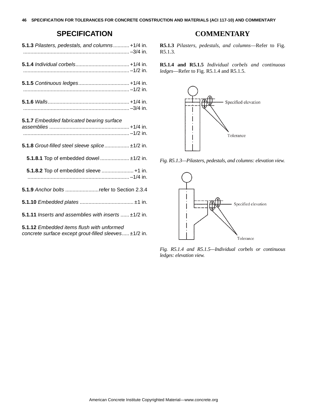| 5.1.3 Pilasters, pedestals, and columns +1/4 in.     |  |
|------------------------------------------------------|--|
|                                                      |  |
|                                                      |  |
|                                                      |  |
|                                                      |  |
|                                                      |  |
|                                                      |  |
|                                                      |  |
|                                                      |  |
|                                                      |  |
| 5.1.7 Embedded fabricated bearing surface            |  |
|                                                      |  |
|                                                      |  |
| 5.1.8 Grout-filled steel sleeve splice ±1/2 in.      |  |
| 5.1.8.1 Top of embedded dowel ±1/2 in.               |  |
|                                                      |  |
| 5.1.8.2 Top of embedded sleeve  +1 in.               |  |
|                                                      |  |
|                                                      |  |
| 5.1.9 Anchor bolts refer to Section 2.3.4            |  |
|                                                      |  |
|                                                      |  |
| 5.1.11 Inserts and assemblies with inserts  ±1/2 in. |  |
| .                                                    |  |

**5.1.12** *Embedded items flush with unformed concrete surface except grout-filled sleeves*..... ±1/2 in. **R5.1.3** *Pilasters, pedestals, and columns*—Refer to Fig. R5.1.3.

**R5.1.4 and R5.1.5** *Individual corbels and continuous ledges*—Refer to Fig. R5.1.4 and R5.1.5.



*Fig. R5.1.3—Pilasters, pedestals, and columns: elevation view.*



*Fig. R5.1.4 and R5.1.5—Individual corbels or continuous ledges: elevation view.*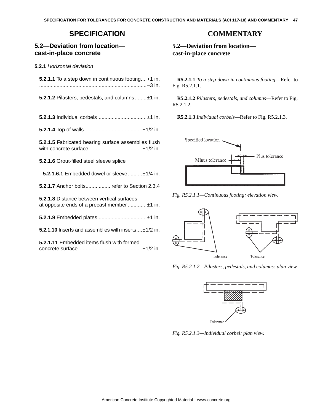# **5.2—Deviation from location cast-in-place concrete**

### **5.2.1** *Horizontal deviation*

| 5.2.1.1 To a step down in continuous footing+1 in.                                        |
|-------------------------------------------------------------------------------------------|
| 5.2.1.2 Pilasters, pedestals, and columns ±1 in.                                          |
|                                                                                           |
|                                                                                           |
| 5.2.1.5 Fabricated bearing surface assemblies flush                                       |
| 5.2.1.6 Grout-filled steel sleeve splice                                                  |
| 5.2.1.6.1 Embedded dowel or sleeve±1/4 in.                                                |
| <b>5.2.1.7</b> Anchor bolts refer to Section 2.3.4                                        |
| 5.2.1.8 Distance between vertical surfaces<br>at opposite ends of a precast member ±1 in. |
|                                                                                           |
| 5.2.1.10 Inserts and assemblies with inserts ±1/2 in.                                     |
| 5.2.1.11 Embedded items flush with formed                                                 |

**5.2—Deviation from location cast-in-place concrete**

**R5.2.1.1** *To a step down in continuous footing*—Refer to Fig. R5.2.1.1.

**R5.2.1.2** *Pilasters, pedestals, and columns*—Refer to Fig. R5.2.1.2.

**R5.2.1.3** Individual corbels-Refer to Fig. R5.2.1.3.



*Fig. R5.2.1.1—Continuous footing: elevation view.*



*Fig. R5.2.1.2—Pilasters, pedestals, and columns: plan view.*



*Fig. R5.2.1.3—Individual corbel: plan view.*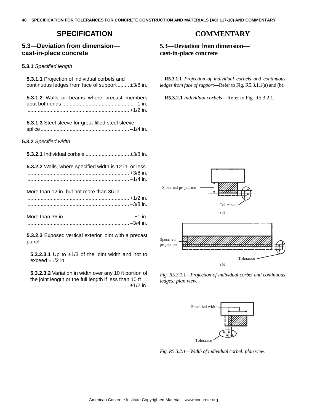# **5.3—Deviation from dimension cast-in-place concrete**

### **5.3.1** *Specified length*

**5.3.1.1** Projection of individual corbels and continuous ledges from face of support ........ ±3/8 in.

|  |  |  | 5.3.1.2 Walls or beams where precast members |
|--|--|--|----------------------------------------------|
|  |  |  |                                              |
|  |  |  |                                              |

**5.3.1.3** Steel sleeve for grout-filled steel sleeve splice............................................................. –1/4 in.

### **5.3.2** *Specified width*

| 5.3.2.2 Walls, where specified width is 12 in. or less |  |  |
|--------------------------------------------------------|--|--|
|                                                        |  |  |
|                                                        |  |  |

More than 12 in. but not more than 36 in.

**5.3.2.3** Exposed vertical exterior joint with a precast panel

**5.3.2.3.1** Up to  $\pm$ 1/3 of the joint width and not to exceed  $±1/2$  in.

**5.3.2.3.2** Variation in width over any 10 ft portion of the joint length or the full length if less than 10 ft .................................................................... ±1/2 in.

**5.3—Deviation from dimension cast-in-place concrete**

**R5.3.1.1** *Projection of individual corbels and continuous ledges from face of support*—Refer to Fig. R5.3.1.1(a) and (b).

**R5.3.2.1** *Individual corbels*—Refer to Fig. R5.3.2.1.





*Fig. R5.3.1.1—Projection of individual corbel and continuous ledges: plan view.*



*Fig. R5.3.2.1—Width of individual corbel: plan view.*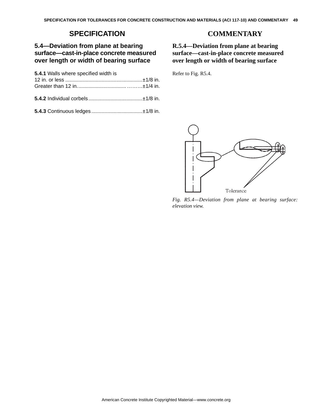# **5.4—Deviation from plane at bearing surface—cast-in-place concrete measured over length or width of bearing surface**

| <b>5.4.1 Walls where specified width is</b> |  |
|---------------------------------------------|--|
|                                             |  |
|                                             |  |
|                                             |  |

**5.4.2** Individual corbels.....................................±1/8 in.

|--|--|--|--|

**R.5.4—Deviation from plane at bearing surface—cast-in-place concrete measured over length or width of bearing surface**

Refer to Fig. R5.4.



*Fig. R5.4—Deviation from plane at bearing surface: elevation view.*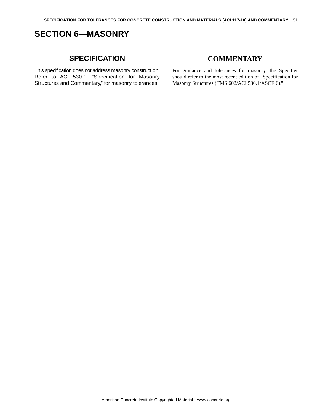# **SECTION 6—MASONRY**

# **SPECIFICATION COMMENTARY**

This specification does not address masonry construction. Refer to ACI 530.1, "Specification for Masonry Structures and Commentary," for masonry tolerances.

For guidance and tolerances for masonry, the Specifier should refer to the most recent edition of "Specification for Masonry Structures (TMS 602/ACI 530.1/ASCE 6)."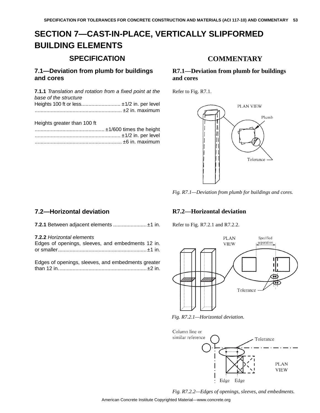# **SPECIFICATION COMMENTARY SECTION 7—CAST-IN-PLACE, VERTICALLY SLIPFORMED BUILDING ELEMENTS**

# **7.1—Deviation from plumb for buildings and cores**

**7.1.1** *Translation and rotation from a fixed point at the base of the structure* Heights 100 ft or less............................ ±1/2 in. per level ............................................................ ±2 in. maximum

Heights greater than 100 ft

## **R7.1—Deviation from plumb for buildings and cores**

Refer to Fig. R7.1.



*Fig. R7.1—Deviation from plumb for buildings and cores.*

# **7.2—Horizontal deviation**

**7.2.1** Between adjacent elements .......................±1 in.

### **7.2.2** *Horizontal elements*

|  |  | Edges of openings, sleeves, and embedments 12 in. |  |
|--|--|---------------------------------------------------|--|
|  |  |                                                   |  |

Edges of openings, sleeves, and embedments greater than 12 in.............................................................±2 in.

# **R7.2—Horizontal deviation**

Refer to Fig. R7.2.1 and R7.2.2.



*Fig. R7.2.1—Horizontal deviation.*



*Fig. R7.2.2—Edges of openings, sleeves, and embedments.*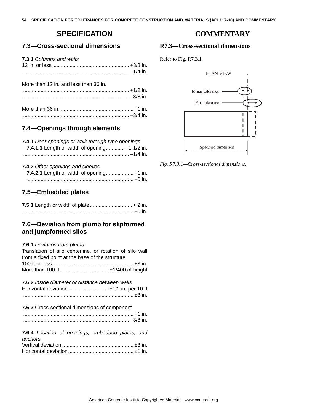## **7.3—Cross-sectional dimensions**

### **7.3.1** *Columns and walls*

### More than 12 in. and less than 36 in.

# ......................................................................... –3/4 in.

# **7.4—Openings through elements**

| 7.4.1 Door openings or walk-through type openings |  |
|---------------------------------------------------|--|
| 7.4.1.1 Length or width of opening +1-1/2 in.     |  |
|                                                   |  |

### **7.4.2** *Other openings and sleeves* **7.4.2.1** Length or width of opening................... +1 in. ......................................................................... –0 in.

## **7.5—Embedded plates**

| 7.5.1 Length or width of plate  + 2 in. |  |  |  |  |
|-----------------------------------------|--|--|--|--|
|                                         |  |  |  |  |

# **7.6—Deviation from plumb for slipformed and jumpformed silos**

### **7.6.1** *Deviation from plumb*

| Translation of silo centerline, or rotation of silo wall<br>from a fixed point at the base of the structure |
|-------------------------------------------------------------------------------------------------------------|
|                                                                                                             |
|                                                                                                             |
| <b>7.6.2</b> Inside diameter or distance between walls                                                      |
| Horizontal deviation ±1/2 in. per 10 ft                                                                     |
| 7.6.3 Cross-sectional dimensions of component                                                               |
|                                                                                                             |
|                                                                                                             |
| 7.6.4 Location of openings, embedded plates, and<br>anchors                                                 |
|                                                                                                             |

## **R7.3—Cross-sectional dimensions**

Refer to Fig. R7.3.1.



*Fig. R7.3.1—Cross-sectional dimensions.*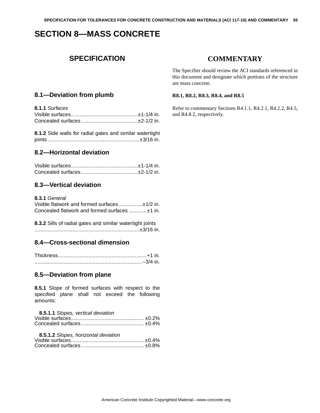# **SECTION 8—MASS CONCRETE**

# **SPECIFICATION COMMENTARY**

# **8.1—Deviation from plumb**

| 8.1.1 Surfaces |  |
|----------------|--|
|                |  |
|                |  |

|  |  |  |  | 8.1.2 Side walls for radial gates and similar watertight |  |
|--|--|--|--|----------------------------------------------------------|--|
|  |  |  |  |                                                          |  |

# **8.2—Horizontal deviation**

# **8.3—Vertical deviation**

**8.3.1** *General*

| Visible flatwork and formed surfaces  ±1/2 in. |  |
|------------------------------------------------|--|
| Concealed flatwork and formed surfaces  ±1 in. |  |

|  | 8.3.2 Sills of radial gates and similar watertight joints |  |  |  |
|--|-----------------------------------------------------------|--|--|--|
|  |                                                           |  |  |  |

# **8.4—Cross-sectional dimension**

# **8.5—Deviation from plane**

**8.5.1** Slope of formed surfaces with respect to the specified plane shall not exceed the following amounts:

| 8.5.1.1 Slopes, vertical deviation |  |
|------------------------------------|--|
|                                    |  |
|                                    |  |

| 8.5.1.2 Slopes, horizontal deviation |  |
|--------------------------------------|--|
|                                      |  |
|                                      |  |

The Specifier should review the ACI standards referenced in this document and designate which portions of the structure are mass concrete.

### **R8.1, R8.2, R8.3, R8.4, and R8.5**

Refer to commentary Sections R4.1.1, R4.2.1, R4.2.2, R4.5, and R4.8.2, respectively.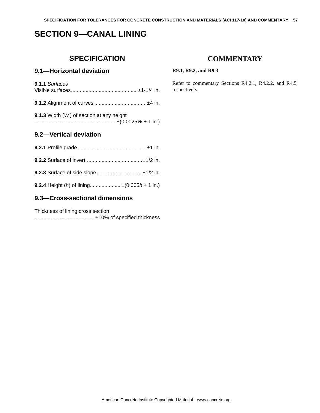# **SECTION 9—CANAL LINING**

# **SPECIFICATION COMMENTARY**

# **9.1—Horizontal deviation**

**9.1.1** *Surfaces* Visible surfaces..............................................±1-1/4 in.

**9.1.2** Alignment of curves ....................................±4 in.

| <b>9.1.3</b> Width $(W)$ of section at any height |  |
|---------------------------------------------------|--|
|                                                   |  |

# **9.2—Vertical deviation**

| <b>9.2.4</b> Height (h) of lining $\pm (0.005h + 1 \text{ in.})$ |
|------------------------------------------------------------------|

# **9.3—Cross-sectional dimensions**

Thickness of lining cross section ......................................... ±10% of specified thickness

### **R9.1, R9.2, and R9.3**

Refer to commentary Sections R4.2.1, R4.2.2, and R4.5, respectively.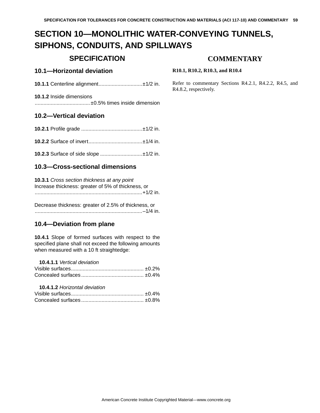# **SPECIFICATION COMMENTARY SECTION 10—MONOLITHIC WATER-CONVEYING TUNNELS, SIPHONS, CONDUITS, AND SPILLWAYS**

# **10.1—Horizontal deviation**

**10.1.1** Centerline alignment..............................±1/2 in.

**10.1.2** Inside dimensions ......................................±0.5% times inside dimension

# **10.2—Vertical deviation**

**10.2.3** Surface of side slope .............................±1/2 in.

# **10.3—Cross-sectional dimensions**

**10.3.1** *Cross section thickness at any point* Increase thickness: greater of 5% of thickness, or ..........................................................................+1/2 in.

Decrease thickness: greater of 2.5% of thickness, or ..........................................................................–1/4 in.

# **10.4—Deviation from plane**

**10.4.1** Slope of formed surfaces with respect to the specified plane shall not exceed the following amounts when measured with a 10 ft straightedge:

| <b>10.4.1.1</b> Vertical deviation |  |
|------------------------------------|--|
|                                    |  |
|                                    |  |

### **R10.1, R10.2, R10.3, and R10.4**

Refer to commentary Sections R4.2.1, R4.2.2, R4.5, and R4.8.2, respectively.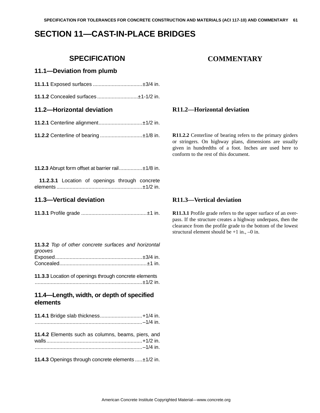# **SECTION 11—CAST-IN-PLACE BRIDGES**

# **SPECIFICATION COMMENTARY**

### **11.1—Deviation from plumb**

**11.1.1** Exposed surfaces ..................................±3/4 in.

**11.1.2** Concealed surfaces ............................±1-1/2 in.

### **11.2—Horizontal deviation**

**11.2.1** Centerline alignment..............................±1/2 in.

- 
- **11.2.2** Centerline of bearing .............................±1/8 in.

**R11.2.2** Centerline of bearing refers to the primary girders or stringers. On highway plans, dimensions are usually given in hundredths of a foot. Inches are used here to conform to the rest of this document.

**11.2.3** Abrupt form offset at barrier rail.................±1/8 in.

**11.2.3.1** Location of openings through concrete elements ...........................................................±1/2 in.

# **11.3—Vertical deviation**

**11.3.1** Profile grade .............................................±1 in.

| 11.3.2 Top of other concrete surfaces and horizontal |  |
|------------------------------------------------------|--|
| grooves                                              |  |
|                                                      |  |
|                                                      |  |
|                                                      |  |

**11.3.3** Location of openings through concrete elements ..........................................................................±1/2 in.

## **11.4—Length, width, or depth of specified elements**

| 11.4.2 Elements such as columns, beams, piers, and |  |
|----------------------------------------------------|--|
|                                                    |  |
|                                                    |  |
|                                                    |  |

**11.4.3** Openings through concrete elements .....±1/2 in.

### **R11.3—Vertical deviation**

**R11.2—Horizontal deviation**

**R11.3.1** Profile grade refers to the upper surface of an overpass. If the structure creates a highway underpass, then the clearance from the profile grade to the bottom of the lowest structural element should be  $+1$  in.,  $-0$  in.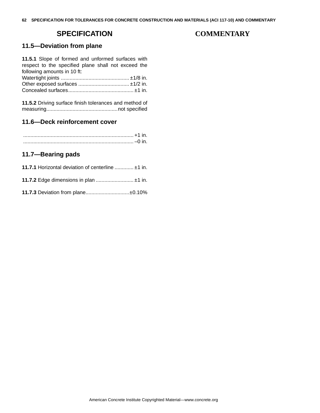## **11.5—Deviation from plane**

**11.5.1** Slope of formed and unformed surfaces with respect to the specified plane shall not exceed the following amounts in 10 ft:

**11.5.2** Driving surface finish tolerances and method of measuring.................................................not specified

# **11.6—Deck reinforcement cover**

# **11.7—Bearing pads**

| 11.7.1 Horizontal deviation of centerline  ±1 in. |  |
|---------------------------------------------------|--|
|                                                   |  |
| 11.7.3 Deviation from plane±0.10%                 |  |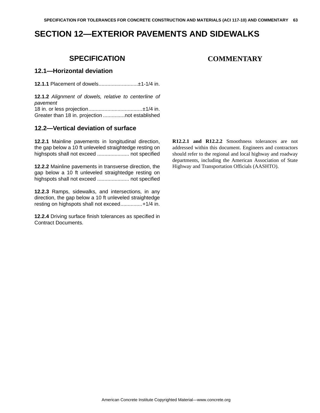# **SECTION 12—EXTERIOR PAVEMENTS AND SIDEWALKS**

# **SPECIFICATION COMMENTARY**

# **12.1—Horizontal deviation**

**12.1.1** Placement of dowels...........................±1-1/4 in.

**12.1.2** *Alignment of dowels, relative to centerline of pavement* 18 in. or less projection.....................................±1/4 in. Greater than 18 in. projection ...............not established

### **12.2—Vertical deviation of surface**

**12.2.1** Mainline pavements in longitudinal direction, the gap below a 10 ft unleveled straightedge resting on highspots shall not exceed ...................... not specified

**12.2.2** Mainline pavements in transverse direction, the gap below a 10 ft unleveled straightedge resting on highspots shall not exceed ...................... not specified

**12.2.3** Ramps, sidewalks, and intersections, in any direction, the gap below a 10 ft unleveled straightedge resting on highspots shall not exceed...............+1/4 in.

**12.2.4** Driving surface finish tolerances as specified in Contract Documents.

**R12.2.1 and R12.2.2** Smoothness tolerances are not addressed within this document. Engineers and contractors should refer to the regional and local highway and roadway departments, including the American Association of State Highway and Transportation Officials (AASHTO).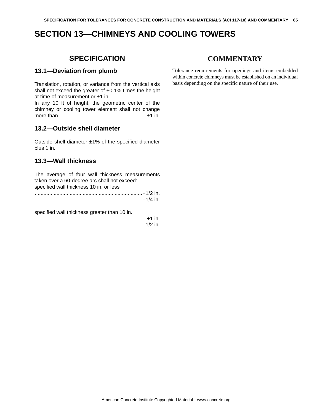# **SECTION 13—CHIMNEYS AND COOLING TOWERS**

# **SPECIFICATION COMMENTARY**

### **13.1—Deviation from plumb**

Translation, rotation, or variance from the vertical axis shall not exceed the greater of  $\pm 0.1\%$  times the height at time of measurement or  $\pm 1$  in.

In any 10 ft of height, the geometric center of the chimney or cooling tower element shall not change more than.............................................................±1 in.

### **13.2—Outside shell diameter**

Outside shell diameter ±1% of the specified diameter plus 1 in.

# **13.3—Wall thickness**

The average of four wall thickness measurements taken over a 60-degree arc shall not exceed: specified wall thickness 10 in. or less

specified wall thickness greater than 10 in.

Tolerance requirements for openings and items embedded within concrete chimneys must be established on an individual basis depending on the specific nature of their use.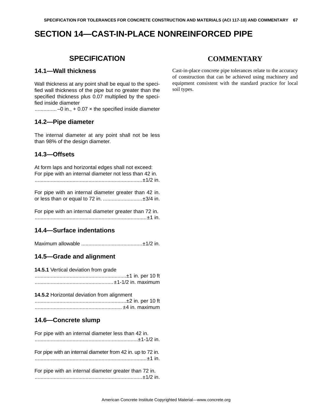# **SECTION 14—CAST-IN-PLACE NONREINFORCED PIPE**

# **SPECIFICATION COMMENTARY**

## **14.1—Wall thickness**

Wall thickness at any point shall be equal to the specified wall thickness of the pipe but no greater than the specified thickness plus 0.07 multiplied by the specified inside diameter

 $\ldots$ ... $\ldots$  –0 in., + 0.07  $\times$  the specified inside diameter

### **14.2—Pipe diameter**

The internal diameter at any point shall not be less than 98% of the design diameter.

### **14.3—Offsets**

At form laps and horizontal edges shall not exceed: For pipe with an internal diameter not less than 42 in. ..........................................................................±1/2 in.

For pipe with an internal diameter greater than 42 in. or less than or equal to 72 in. ...........................±3/4 in.

For pipe with an internal diameter greater than 72 in. .............................................................................±1 in.

## **14.4—Surface indentations**

Maximum allowable ..........................................±1/2 in.

### **14.5—Grade and alignment**

**14.5.1** Vertical deviation from grade

...............................................................±1 in. per 10 ft ......................................................±1-1/2 in. maximum

**14.5.2** Horizontal deviation from alignment ...............................................................±2 in. per 10 ft ............................................................ ±4 in. maximum

### **14.6—Concrete slump**

For pipe with an internal diameter less than 42 in. .......................................................................±1-1/2 in. For pipe with an internal diameter from 42 in. up to 72 in. .............................................................................±1 in. For pipe with an internal diameter greater than 72 in. ..........................................................................±1/2 in.

Cast-in-place concrete pipe tolerances relate to the accuracy of construction that can be achieved using machinery and equipment consistent with the standard practice for local soil types.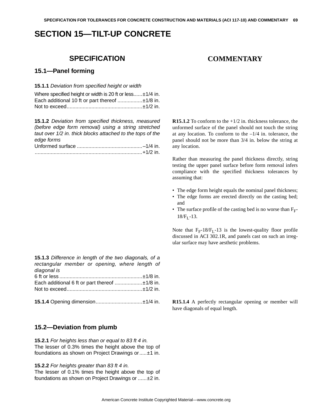# **SECTION 15—TILT-UP CONCRETE**

# **SPECIFICATION COMMENTARY**

### **15.1—Panel forming**

### **15.1.1** *Deviation from specified height or width*

| Where specified height or width is 20 ft or less ±1/4 in. |  |
|-----------------------------------------------------------|--|
| Each additional 10 ft or part thereof ±1/8 in.            |  |
|                                                           |  |

**15.1.2** *Deviation from specified thickness, measured (before edge form removal) using a string stretched taut over 1/2 in. thick blocks attached to the tops of the edge forms* Unformed surface .............................................–1/4 in.

**15.1.3** *Difference in length of the two diagonals, of a rectangular member or opening, where length of diagonal is* 6 ft or less .........................................................±1/8 in. Each additional 6 ft or part thereof ...................±1/8 in. Not to exceed....................................................±1/2 in.

**15.1.4** Opening dimension................................±1/4 in.

### **15.2—Deviation from plumb**

**15.2.1** *For heights less than or equal to 83 ft 4 in.* The lesser of 0.3% times the height above the top of foundations as shown on Project Drawings or.....±1 in.

### **15.2.2** *For heights greater than 83 ft 4 in.*

The lesser of 0.1% times the height above the top of foundations as shown on Project Drawings or ......±2 in.

**R15.1.2** To conform to the +1/2 in. thickness tolerance, the unformed surface of the panel should not touch the string at any location. To conform to the  $-1/4$  in. tolerance, the panel should not be more than 3/4 in. below the string at any location.

Rather than measuring the panel thickness directly, string testing the upper panel surface before form removal infers compliance with the specified thickness tolerances by assuming that:

- The edge form height equals the nominal panel thickness;
- The edge forms are erected directly on the casting bed; and
- The surface profile of the casting bed is no worse than  $F_F$ - $18/F_{L} - 13$ .

Note that  $F_F-18/F_L-13$  is the lowest-quality floor profile discussed in ACI 302.1R, and panels cast on such an irregular surface may have aesthetic problems.

**R15.1.4** A perfectly rectangular opening or member will have diagonals of equal length.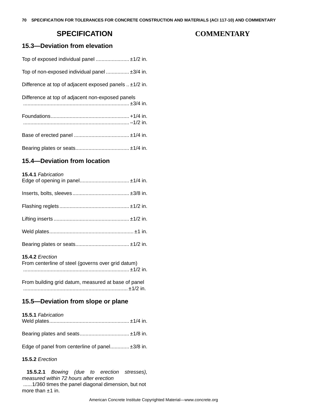## **15.3—Deviation from elevation**

| Top of exposed individual panel  ±1/2 in.                        |  |
|------------------------------------------------------------------|--|
| Top of non-exposed individual panel  ±3/4 in.                    |  |
| Difference at top of adjacent exposed panels $\dots \pm 1/2$ in. |  |
| Difference at top of adjacent non-exposed panels                 |  |
|                                                                  |  |
|                                                                  |  |
|                                                                  |  |

# **15.4—Deviation from location**

### **15.4.1** *Fabrication*

## **15.4.2** *Erection*

|  |  |  |  | From centerline of steel (governs over grid datum) |  |
|--|--|--|--|----------------------------------------------------|--|
|  |  |  |  |                                                    |  |

|  |  | From building grid datum, measured at base of panel |
|--|--|-----------------------------------------------------|
|  |  |                                                     |

# **15.5—Deviation from slope or plane**

| 15.5.1 Fabrication |  |
|--------------------|--|
|                    |  |

Edge of panel from centerline of panel............. ±3/8 in.

### **15.5.2** *Erection*

**15.5.2.1** *Bowing (due to erection stresses), measured within 72 hours after erection* ......1/360 times the panel diagonal dimension, but not more than  $±1$  in.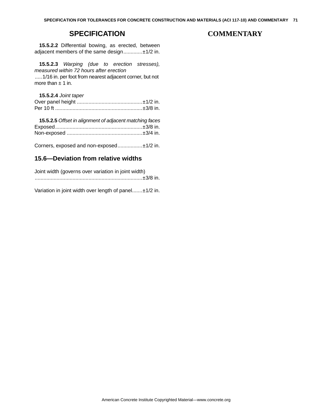### **SPECIFICATION COMMENTARY**

**15.5.2.2** Differential bowing, as erected, between adjacent members of the same design..............±1/2 in.

**15.5.2.3** *Warping (due to erection stresses), measured within 72 hours after erection* .....1/16 in. per foot from nearest adjacent corner, but not more than  $\pm$  1 in.

### **15.5.2.4** *Joint taper*

**15.5.2.5** *Offset in alignment of adjacent matching faces* Exposed............................................................±3/8 in. Non-exposed ....................................................±3/4 in.

Corners, exposed and non-exposed.................±1/2 in.

### **15.6—Deviation from relative widths**

Joint width (governs over variation in joint width) ..........................................................................±3/8 in.

Variation in joint width over length of panel.......±1/2 in.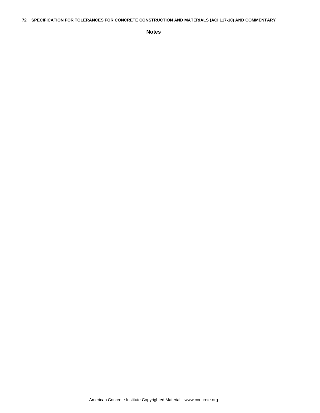**Notes**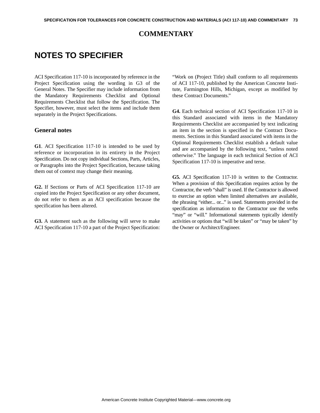### **COMMENTARY**

#### **SPECIFIER COMMENTARY NOTES TO SPECIFIER**

ACI Specification 117-10 is incorporated by reference in the Project Specification using the wording in G3 of the General Notes. The Specifier may include information from the Mandatory Requirements Checklist and Optional Requirements Checklist that follow the Specification. The Specifier, however, must select the items and include them separately in the Project Specifications.

### **General notes**

**G1**. ACI Specification 117-10 is intended to be used by reference or incorporation in its entirety in the Project Specification. Do not copy individual Sections, Parts, Articles, or Paragraphs into the Project Specification, because taking them out of context may change their meaning.

**G2.** If Sections or Parts of ACI Specification 117-10 are copied into the Project Specification or any other document, do not refer to them as an ACI specification because the specification has been altered.

**G3.** A statement such as the following will serve to make ACI Specification 117-10 a part of the Project Specification:

"Work on (Project Title) shall conform to all requirements of ACI 117-10, published by the American Concrete Institute, Farmington Hills, Michigan, except as modified by these Contract Documents."

**G4.** Each technical section of ACI Specification 117-10 in this Standard associated with items in the Mandatory Requirements Checklist are accompanied by text indicating an item in the section is specified in the Contract Documents. Sections in this Standard associated with items in the Optional Requirements Checklist establish a default value and are accompanied by the following text, "unless noted otherwise." The language in each technical Section of ACI Specification 117-10 is imperative and terse.

**G5.** ACI Specification 117-10 is written to the Contractor. When a provision of this Specification requires action by the Contractor, the verb "shall" is used. If the Contractor is allowed to exercise an option when limited alternatives are available, the phrasing "either... or..." is used. Statements provided in the specification as information to the Contractor use the verbs "may" or "will." Informational statements typically identify activities or options that "will be taken" or "may be taken" by the Owner or Architect/Engineer.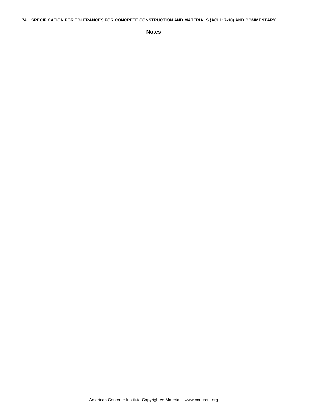**Notes**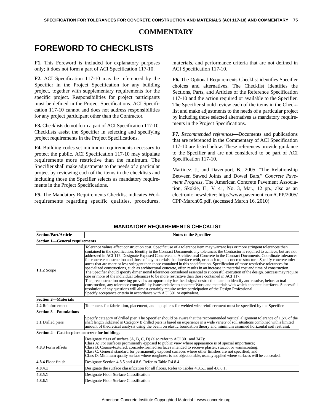# **SPECIFICATION COMMENTARY COMMENTARY**

# **FOREWORD TO CHECKLISTS**

**F1.** This Foreword is included for explanatory purposes only; it does not form a part of ACI Specification 117-10.

**F2.** ACI Specification 117-10 may be referenced by the Specifier in the Project Specification for any building project, together with supplementary requirements for the specific project. Responsibilities for project participants must be defined in the Project Specifications. ACI Specification 117-10 cannot and does not address responsibilities for any project participant other than the Contractor.

**F3.** Checklists do not form a part of ACI Specification 117-10. Checklists assist the Specifier in selecting and specifying project requirements in the Project Specifications.

**F4.** Building codes set minimum requirements necessary to protect the public. ACI Specification 117-10 may stipulate requirements more restrictive than the minimum. The Specifier shall make adjustments to the needs of a particular project by reviewing each of the items in the checklists and including those the Specifier selects as mandatory requirements in the Project Specifications.

**F5.** The Mandatory Requirements Checklist indicates Work requirements regarding specific qualities, procedures, materials, and performance criteria that are not defined in ACI Specification 117-10.

**F6.** The Optional Requirements Checklist identifies Specifier choices and alternatives. The Checklist identifies the Sections, Parts, and Articles of the Reference Specification 117-10 and the action required or available to the Specifier. The Specifier should review each of the items in the Checklist and make adjustments to the needs of a particular project by including those selected alternatives as mandatory requirements in the Project Specifications.

**F7.** *Recommended references*—Documents and publications that are referenced in the Commentary of ACI Specification 117-10 are listed below. These references provide guidance to the Specifier and are not considered to be part of ACI Specification 117-10.

Martinez, J., and Davenport, B., 2005, "The Relationship Between Sawed Joints and Dowel Bars," *Concrete Pavement Progress*, The American Concrete Pavement Association, Skokie, IL, V. 41, No. 3, Mar., 12 pp.; also as an electronic newsletter: http://www.pavement.com/CPP/2005/ CPP-March05.pdf. (accessed March 16, 2010)

| <b>Section/Part/Article</b>                    | Notes to the Specifier                                                                                                                                                                                                                                                                                                                                                                                                                                                                                                                                                                                                                                                                                                                                                                                                                                                                                                                                                                                                                                                                                                                                                                                                                                                                                                                                                                                                                                                                                                                |  |
|------------------------------------------------|---------------------------------------------------------------------------------------------------------------------------------------------------------------------------------------------------------------------------------------------------------------------------------------------------------------------------------------------------------------------------------------------------------------------------------------------------------------------------------------------------------------------------------------------------------------------------------------------------------------------------------------------------------------------------------------------------------------------------------------------------------------------------------------------------------------------------------------------------------------------------------------------------------------------------------------------------------------------------------------------------------------------------------------------------------------------------------------------------------------------------------------------------------------------------------------------------------------------------------------------------------------------------------------------------------------------------------------------------------------------------------------------------------------------------------------------------------------------------------------------------------------------------------------|--|
| <b>Section 1-General requirements</b>          |                                                                                                                                                                                                                                                                                                                                                                                                                                                                                                                                                                                                                                                                                                                                                                                                                                                                                                                                                                                                                                                                                                                                                                                                                                                                                                                                                                                                                                                                                                                                       |  |
| $1.1.2$ Scope                                  | Tolerance values affect construction cost. Specific use of a tolerance item may warrant less or more stringent tolerances than<br>contained in the specification. Identify in the Contract Documents any tolerances the Contractor is required to achieve, but are not<br>addressed in ACI 117. Designate Exposed Concrete and Architectural Concrete in the Contract Documents. Coordinate tolerances<br>for concrete construction and those of any materials that interface with, or attach to, the concrete structure. Specify concrete toler-<br>ances that are more or less stringent than those contained in this specification. Specification of more restrictive tolerances for<br>specialized constructions, such as architectural concrete, often results in an increase in material cost and time of construction.<br>The Specifier should specify dimensional tolerances considered essential to successful execution of the design. Success may require<br>one or more of the individual tolerances to be more restrictive than those contained in ACI 117.<br>The preconstruction meeting provides an opportunity for the design/construction team to identify and resolve, before actual<br>construction, any tolerance compatibility issues relative to concrete Work and materials with which concrete interfaces. Successful<br>resolution of any questions will almost certainly require active participation of the Design Professional.<br>Specify acceptance criteria in accordance with ACI 301 or equivalent. |  |
| <b>Section 2-Materials</b>                     |                                                                                                                                                                                                                                                                                                                                                                                                                                                                                                                                                                                                                                                                                                                                                                                                                                                                                                                                                                                                                                                                                                                                                                                                                                                                                                                                                                                                                                                                                                                                       |  |
| 2.2 Reinforcement                              | Tolerances for fabrication, placement, and lap splices for welded wire reinforcement must be specified by the Specifier.                                                                                                                                                                                                                                                                                                                                                                                                                                                                                                                                                                                                                                                                                                                                                                                                                                                                                                                                                                                                                                                                                                                                                                                                                                                                                                                                                                                                              |  |
| <b>Section 3-Foundations</b>                   |                                                                                                                                                                                                                                                                                                                                                                                                                                                                                                                                                                                                                                                                                                                                                                                                                                                                                                                                                                                                                                                                                                                                                                                                                                                                                                                                                                                                                                                                                                                                       |  |
| 3.1 Drilled piers                              | Specify category of drilled pier. The Specifier should be aware that the recommended vertical alignment tolerance of 1.5% of the<br>shaft length indicated in Category B drilled piers is based on experience in a wide variety of soil situations combined with a limited<br>amount of theoretical analysis using the beam on elastic foundation theory and minimum assumed horizontal soil restraint.                                                                                                                                                                                                                                                                                                                                                                                                                                                                                                                                                                                                                                                                                                                                                                                                                                                                                                                                                                                                                                                                                                                               |  |
| Section 4-Cast-in-place concrete for buildings |                                                                                                                                                                                                                                                                                                                                                                                                                                                                                                                                                                                                                                                                                                                                                                                                                                                                                                                                                                                                                                                                                                                                                                                                                                                                                                                                                                                                                                                                                                                                       |  |
| 4.8.3 Form offsets                             | Designate class of surface (A, B, C, D) (also refer to ACI 301 and 347):<br>Class A: For surfaces prominently exposed to public view where appearance is of special importance;<br>Class B: Coarse-textured, concrete-formed surfaces intended to receive plaster, stucco, or wainscoating;<br>Class C: General standard for permanently exposed surfaces where other finishes are not specified; and<br>Class D: Minimum quality surface where roughness is not objectionable, usually applied where surfaces will be concealed.                                                                                                                                                                                                                                                                                                                                                                                                                                                                                                                                                                                                                                                                                                                                                                                                                                                                                                                                                                                                     |  |
| 4.8.4 Floor finish                             | Designate Section 4.8.5 and 4.8.6. Refer to Table R4.8.4.                                                                                                                                                                                                                                                                                                                                                                                                                                                                                                                                                                                                                                                                                                                                                                                                                                                                                                                                                                                                                                                                                                                                                                                                                                                                                                                                                                                                                                                                             |  |
| 4.8.4.1                                        | Designate the surface classification for all floors. Refer to Tables 4.8.5.1 and 4.8.6.1.                                                                                                                                                                                                                                                                                                                                                                                                                                                                                                                                                                                                                                                                                                                                                                                                                                                                                                                                                                                                                                                                                                                                                                                                                                                                                                                                                                                                                                             |  |
| 4.8.5.1                                        | Designate Floor Surface Classification.                                                                                                                                                                                                                                                                                                                                                                                                                                                                                                                                                                                                                                                                                                                                                                                                                                                                                                                                                                                                                                                                                                                                                                                                                                                                                                                                                                                                                                                                                               |  |
| 4.8.6.1                                        | Designate Floor Surface Classification.                                                                                                                                                                                                                                                                                                                                                                                                                                                                                                                                                                                                                                                                                                                                                                                                                                                                                                                                                                                                                                                                                                                                                                                                                                                                                                                                                                                                                                                                                               |  |

#### **MANDATORY REQUIREMENTS CHECKLIST**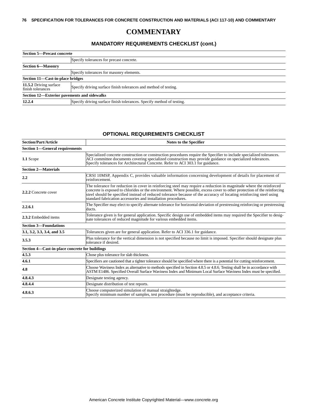# **SPECIFICATION COMMENTARY COMMENTARY**

### **MANDATORY REQUIREMENTS CHECKLIST (cont.)**

| <b>Section 5-Precast concrete</b>           |                                                                       |  |  |
|---------------------------------------------|-----------------------------------------------------------------------|--|--|
|                                             | Specify tolerances for precast concrete.                              |  |  |
| <b>Section 6-Masonry</b>                    |                                                                       |  |  |
|                                             | Specify tolerances for masonry elements.                              |  |  |
| Section 11—Cast-in-place bridges            |                                                                       |  |  |
| 11.5.2 Driving surface<br>finish tolerances | Specify driving surface finish tolerances and method of testing.      |  |  |
| Section 12-Exterior pavements and sidewalks |                                                                       |  |  |
| 12.2.4                                      | Specify driving surface finish tolerances. Specify method of testing. |  |  |

#### **OPTIONAL REQUIREMENTS CHECKLIST**

| <b>Section/Part/Article</b>                                | <b>Notes to the Specifier</b>                                                                                                                                                                                                                                                                                                                                                                                                          |  |  |  |
|------------------------------------------------------------|----------------------------------------------------------------------------------------------------------------------------------------------------------------------------------------------------------------------------------------------------------------------------------------------------------------------------------------------------------------------------------------------------------------------------------------|--|--|--|
| <b>Section 1-General requirements</b>                      |                                                                                                                                                                                                                                                                                                                                                                                                                                        |  |  |  |
| 1.1 Scope                                                  | Specialized concrete construction or construction procedures require the Specifier to include specialized tolerances.<br>ACI committee documents covering specialized construction may provide guidance on specialized tolerances.<br>Specify tolerances for Architectural Concrete. Refer to ACI 303.1 for guidance.                                                                                                                  |  |  |  |
| <b>Section 2-Materials</b>                                 |                                                                                                                                                                                                                                                                                                                                                                                                                                        |  |  |  |
| 2.2                                                        | CRSI 10MSP, Appendix C, provides valuable information concerning development of details for placement of<br>reinforcement.                                                                                                                                                                                                                                                                                                             |  |  |  |
| 2.2.2 Concrete cover                                       | The tolerance for reduction in cover in reinforcing steel may require a reduction in magnitude where the reinforced<br>concrete is exposed to chlorides or the environment. Where possible, excess cover to other protection of the reinforcing<br>steel should be specified instead of reduced tolerance because of the accuracy of locating reinforcing steel using<br>standard fabrication accessories and installation procedures. |  |  |  |
| 2.2.6.1                                                    | The Specifier may elect to specify alternate tolerance for horizontal deviation of prestressing reinforcing or prestressing<br>ducts.                                                                                                                                                                                                                                                                                                  |  |  |  |
| 2.3.2 Embedded items                                       | Tolerance given is for general application. Specific design use of embedded items may required the Specifier to desig-<br>nate tolerances of reduced magnitude for various embedded items.                                                                                                                                                                                                                                             |  |  |  |
| <b>Section 3-Foundations</b>                               |                                                                                                                                                                                                                                                                                                                                                                                                                                        |  |  |  |
| 3.1, 3.2, 3.3, 3.4, and 3.5                                | Tolerances given are for general application. Refer to ACI 336.1 for guidance.                                                                                                                                                                                                                                                                                                                                                         |  |  |  |
| 3.5.3                                                      | Plus tolerance for the vertical dimension is not specified because no limit is imposed. Specifier should designate plus<br>tolerance if desired.                                                                                                                                                                                                                                                                                       |  |  |  |
| -Cast-in-place concrete for buildings<br><b>Section 4-</b> |                                                                                                                                                                                                                                                                                                                                                                                                                                        |  |  |  |
| 4.5.3                                                      | Chose plus tolerance for slab thickness.                                                                                                                                                                                                                                                                                                                                                                                               |  |  |  |
| 4.6.1                                                      | Specifiers are cautioned that a tighter tolerance should be specified where there is a potential for cutting reinforcement.                                                                                                                                                                                                                                                                                                            |  |  |  |
| 4.8                                                        | Choose Waviness Index as alternative to methods specified in Section 4.8.5 or 4.8.6. Testing shall be in accordance with<br>ASTM E1486. Specified Overall Surface Waviness Index and Minimum Local Surface Waviness Index must be specified.                                                                                                                                                                                           |  |  |  |
| 4.8.4.3                                                    | Designate testing agency.                                                                                                                                                                                                                                                                                                                                                                                                              |  |  |  |
| 4.8.4.4                                                    | Designate distribution of test reports.                                                                                                                                                                                                                                                                                                                                                                                                |  |  |  |
| 4.8.6.3                                                    | Choose computerized simulation of manual straightedge.<br>Specify minimum number of samples, test procedure (must be reproducible), and acceptance criteria.                                                                                                                                                                                                                                                                           |  |  |  |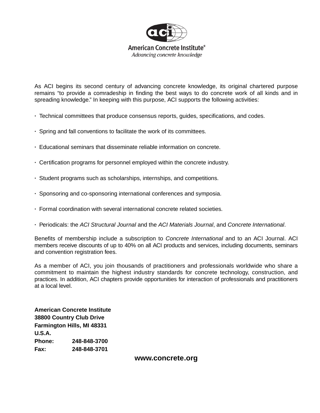

As ACI begins its second century of advancing concrete knowledge, its original chartered purpose remains "to provide a comradeship in finding the best ways to do concrete work of all kinds and in spreading knowledge." In keeping with this purpose, ACI supports the following activities:

- **·** Technical committees that produce consensus reports, guides, specifications, and codes.
- **·** Spring and fall conventions to facilitate the work of its committees.
- **·** Educational seminars that disseminate reliable information on concrete.
- **·** Certification programs for personnel employed within the concrete industry.
- **·** Student programs such as scholarships, internships, and competitions.
- **·** Sponsoring and co-sponsoring international conferences and symposia.
- **·** Formal coordination with several international concrete related societies.
- **·** Periodicals: the *ACI Structural Journal* and the *ACI Materials Journal*, and *Concrete International*.

Benefits of membership include a subscription to *Concrete International* and to an ACI Journal. ACI members receive discounts of up to 40% on all ACI products and services, including documents, seminars and convention registration fees.

As a member of ACI, you join thousands of practitioners and professionals worldwide who share a commitment to maintain the highest industry standards for concrete technology, construction, and practices. In addition, ACI chapters provide opportunities for interaction of professionals and practitioners at a local level.

**American Concrete Institute 38800 Country Club Drive Farmington Hills, MI 48331 U.S.A. Phone: 248-848-3700 Fax: 248-848-3701**

**www.concrete.org**